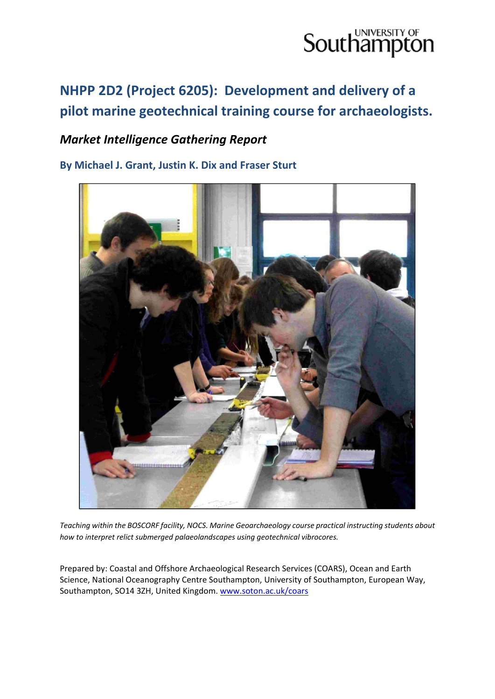### **NHPP 2D2 (Project 6205): Development and delivery of a pilot marine geotechnical training course for archaeologists.**

### *Market Intelligence Gathering Report*

**By Michael J. Grant, Justin K. Dix and Fraser Sturt**



*Teaching within the BOSCORF facility, NOCS. Marine Geoarchaeology course practical instructing students about how to interpret relict submerged palaeolandscapes using geotechnical vibrocores.* 

Prepared by: Coastal and Offshore Archaeological Research Services (COARS), Ocean and Earth Science, National Oceanography Centre Southampton, University of Southampton, European Way, Southampton, SO14 3ZH, United Kingdom. www.soton.ac.uk/coars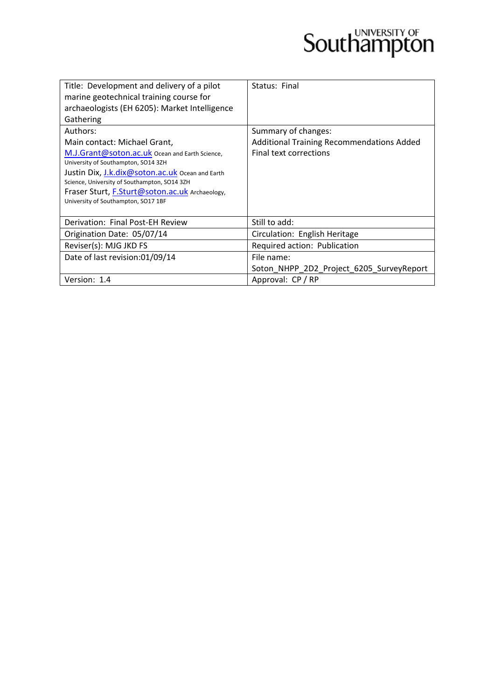| Title: Development and delivery of a pilot                                            | Status: Final                             |
|---------------------------------------------------------------------------------------|-------------------------------------------|
| marine geotechnical training course for                                               |                                           |
| archaeologists (EH 6205): Market Intelligence                                         |                                           |
| Gathering                                                                             |                                           |
| Authors:                                                                              | Summary of changes:                       |
| Main contact: Michael Grant,                                                          | Additional Training Recommendations Added |
| M.J.Grant@soton.ac.uk Ocean and Earth Science,<br>University of Southampton, SO14 3ZH | Final text corrections                    |
| Justin Dix, J.k.dix@soton.ac.uk Ocean and Earth                                       |                                           |
| Science, University of Southampton, SO14 3ZH                                          |                                           |
| Fraser Sturt, F.Sturt@soton.ac.uk Archaeology,                                        |                                           |
| University of Southampton, SO17 1BF                                                   |                                           |
|                                                                                       |                                           |
| Derivation: Final Post-EH Review                                                      | Still to add:                             |
| Origination Date: 05/07/14                                                            | Circulation: English Heritage             |
| Reviser(s): MJG JKD FS                                                                | Required action: Publication              |
| Date of last revision:01/09/14                                                        | File name:                                |
|                                                                                       | Soton NHPP 2D2 Project 6205 SurveyReport  |
| Version: 1.4                                                                          | Approval: CP / RP                         |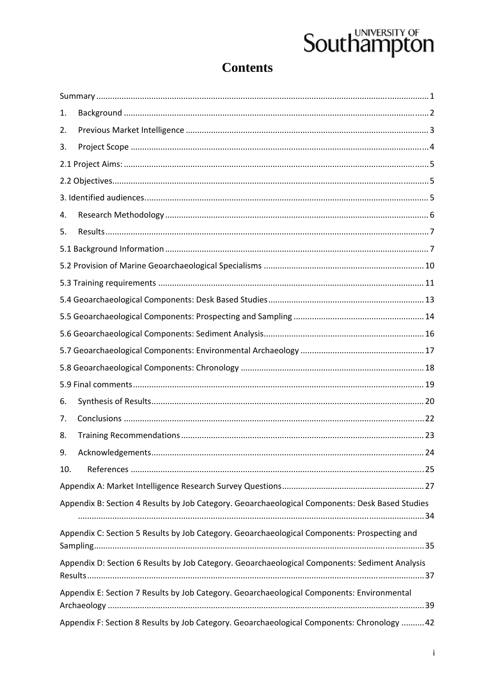### **Contents**

| 1.  |                                                                                                 |
|-----|-------------------------------------------------------------------------------------------------|
| 2.  |                                                                                                 |
| 3.  |                                                                                                 |
|     |                                                                                                 |
|     |                                                                                                 |
|     |                                                                                                 |
| 4.  |                                                                                                 |
| 5.  |                                                                                                 |
|     |                                                                                                 |
|     |                                                                                                 |
|     |                                                                                                 |
|     |                                                                                                 |
|     |                                                                                                 |
|     |                                                                                                 |
|     |                                                                                                 |
|     |                                                                                                 |
|     |                                                                                                 |
| 6.  |                                                                                                 |
| 7.  |                                                                                                 |
| 8.  |                                                                                                 |
| 9.  |                                                                                                 |
| 10. |                                                                                                 |
|     |                                                                                                 |
|     | Appendix B: Section 4 Results by Job Category. Geoarchaeological Components: Desk Based Studies |
|     | Appendix C: Section 5 Results by Job Category. Geoarchaeological Components: Prospecting and    |
|     |                                                                                                 |
|     | Appendix D: Section 6 Results by Job Category. Geoarchaeological Components: Sediment Analysis  |
|     | Appendix E: Section 7 Results by Job Category. Geoarchaeological Components: Environmental      |
|     | Appendix F: Section 8 Results by Job Category. Geoarchaeological Components: Chronology  42     |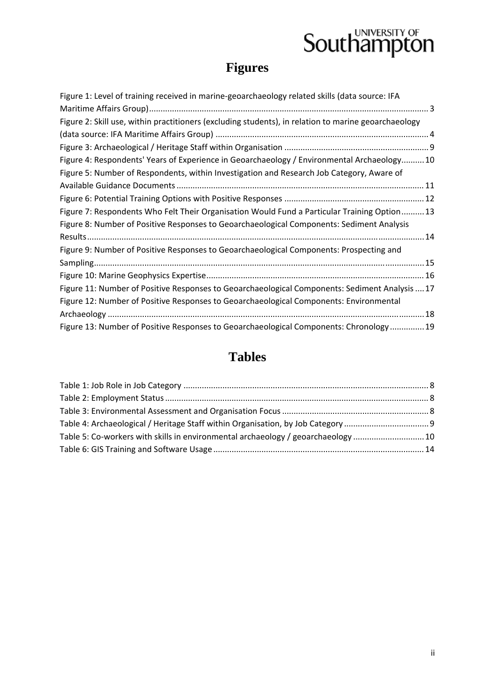## **Figures**

| Figure 1: Level of training received in marine-geoarchaeology related skills (data source: IFA       |
|------------------------------------------------------------------------------------------------------|
|                                                                                                      |
| Figure 2: Skill use, within practitioners (excluding students), in relation to marine geoarchaeology |
|                                                                                                      |
|                                                                                                      |
| Figure 4: Respondents' Years of Experience in Geoarchaeology / Environmental Archaeology10           |
| Figure 5: Number of Respondents, within Investigation and Research Job Category, Aware of            |
|                                                                                                      |
|                                                                                                      |
| Figure 7: Respondents Who Felt Their Organisation Would Fund a Particular Training Option 13         |
| Figure 8: Number of Positive Responses to Geoarchaeological Components: Sediment Analysis            |
|                                                                                                      |
| Figure 9: Number of Positive Responses to Geoarchaeological Components: Prospecting and              |
|                                                                                                      |
|                                                                                                      |
| Figure 11: Number of Positive Responses to Geoarchaeological Components: Sediment Analysis  17       |
| Figure 12: Number of Positive Responses to Geoarchaeological Components: Environmental               |
|                                                                                                      |
| Figure 13: Number of Positive Responses to Geoarchaeological Components: Chronology 19               |

### **Tables**

| Table 5: Co-workers with skills in environmental archaeology / geoarchaeology 10 |  |
|----------------------------------------------------------------------------------|--|
|                                                                                  |  |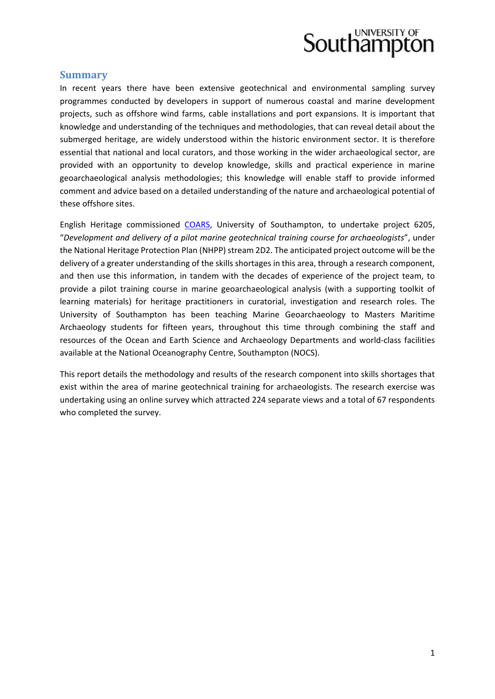#### **Summary**

In recent years there have been extensive geotechnical and environmental sampling survey programmes conducted by developers in support of numerous coastal and marine development projects, such as offshore wind farms, cable installations and port expansions. It is important that knowledge and understanding of the techniques and methodologies, that can reveal detail about the submerged heritage, are widely understood within the historic environment sector. It is therefore essential that national and local curators, and those working in the wider archaeological sector, are provided with an opportunity to develop knowledge, skills and practical experience in marine geoarchaeological analysis methodologies; this knowledge will enable staff to provide informed comment and advice based on a detailed understanding of the nature and archaeological potential of these offshore sites.

English Heritage commissioned COARS, University of Southampton, to undertake project 6205, "*Development and delivery of a pilot marine geotechnical training course for archaeologists*", under the National Heritage Protection Plan (NHPP) stream 2D2. The anticipated project outcome will be the delivery of a greater understanding of the skills shortages in this area, through a research component, and then use this information, in tandem with the decades of experience of the project team, to provide a pilot training course in marine geoarchaeological analysis (with a supporting toolkit of learning materials) for heritage practitioners in curatorial, investigation and research roles. The University of Southampton has been teaching Marine Geoarchaeology to Masters Maritime Archaeology students for fifteen years, throughout this time through combining the staff and resources of the Ocean and Earth Science and Archaeology Departments and world‐class facilities available at the National Oceanography Centre, Southampton (NOCS).

This report details the methodology and results of the research component into skills shortages that exist within the area of marine geotechnical training for archaeologists. The research exercise was undertaking using an online survey which attracted 224 separate views and a total of 67 respondents who completed the survey.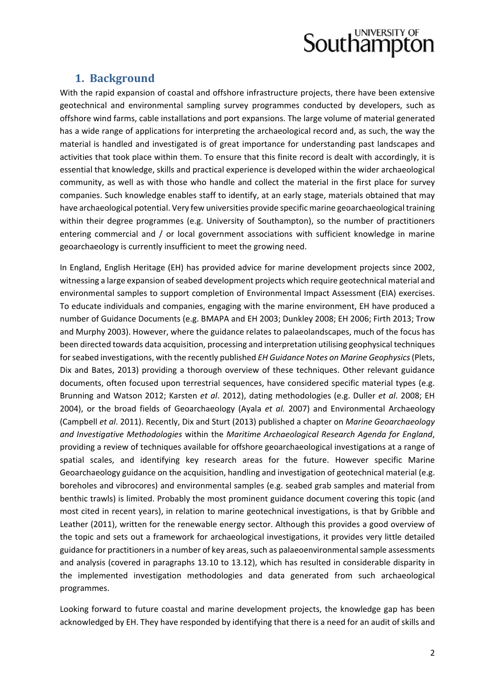

#### **1. Background**

With the rapid expansion of coastal and offshore infrastructure projects, there have been extensive geotechnical and environmental sampling survey programmes conducted by developers, such as offshore wind farms, cable installations and port expansions. The large volume of material generated has a wide range of applications for interpreting the archaeological record and, as such, the way the material is handled and investigated is of great importance for understanding past landscapes and activities that took place within them. To ensure that this finite record is dealt with accordingly, it is essential that knowledge, skills and practical experience is developed within the wider archaeological community, as well as with those who handle and collect the material in the first place for survey companies. Such knowledge enables staff to identify, at an early stage, materials obtained that may have archaeological potential. Very few universities provide specific marine geoarchaeological training within their degree programmes (e.g. University of Southampton), so the number of practitioners entering commercial and / or local government associations with sufficient knowledge in marine geoarchaeology is currently insufficient to meet the growing need.

In England, English Heritage (EH) has provided advice for marine development projects since 2002, witnessing a large expansion of seabed development projects which require geotechnical material and environmental samples to support completion of Environmental Impact Assessment (EIA) exercises. To educate individuals and companies, engaging with the marine environment, EH have produced a number of Guidance Documents (e.g. BMAPA and EH 2003; Dunkley 2008; EH 2006; Firth 2013; Trow and Murphy 2003). However, where the guidance relates to palaeolandscapes, much of the focus has been directed towards data acquisition, processing and interpretation utilising geophysical techniques forseabed investigations, with the recently published *EH Guidance Notes on Marine Geophysics*(Plets, Dix and Bates, 2013) providing a thorough overview of these techniques. Other relevant guidance documents, often focused upon terrestrial sequences, have considered specific material types (e.g. Brunning and Watson 2012; Karsten *et al*. 2012), dating methodologies (e.g. Duller *et al*. 2008; EH 2004), or the broad fields of Geoarchaeology (Ayala *et al.* 2007) and Environmental Archaeology (Campbell *et al*. 2011). Recently, Dix and Sturt (2013) published a chapter on *Marine Geoarchaeology and Investigative Methodologies* within the *Maritime Archaeological Research Agenda for England*, providing a review of techniques available for offshore geoarchaeological investigations at a range of spatial scales, and identifying key research areas for the future. However specific Marine Geoarchaeology guidance on the acquisition, handling and investigation of geotechnical material (e.g. boreholes and vibrocores) and environmental samples (e.g. seabed grab samples and material from benthic trawls) is limited. Probably the most prominent guidance document covering this topic (and most cited in recent years), in relation to marine geotechnical investigations, is that by Gribble and Leather (2011), written for the renewable energy sector. Although this provides a good overview of the topic and sets out a framework for archaeological investigations, it provides very little detailed guidance for practitioners in a number of key areas, such as palaeoenvironmental sample assessments and analysis (covered in paragraphs 13.10 to 13.12), which has resulted in considerable disparity in the implemented investigation methodologies and data generated from such archaeological programmes.

Looking forward to future coastal and marine development projects, the knowledge gap has been acknowledged by EH. They have responded by identifying that there is a need for an audit of skills and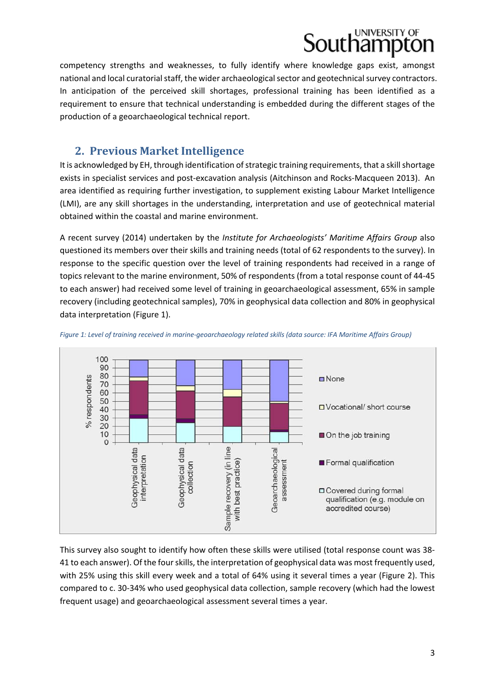### UNIVERSITY OF outhampt

competency strengths and weaknesses, to fully identify where knowledge gaps exist, amongst national and local curatorial staff, the wider archaeological sector and geotechnical survey contractors. In anticipation of the perceived skill shortages, professional training has been identified as a requirement to ensure that technical understanding is embedded during the different stages of the production of a geoarchaeological technical report.

### **2. Previous Market Intelligence**

It is acknowledged by EH, through identification of strategic training requirements, that a skill shortage exists in specialist services and post‐excavation analysis (Aitchinson and Rocks‐Macqueen 2013). An area identified as requiring further investigation, to supplement existing Labour Market Intelligence (LMI), are any skill shortages in the understanding, interpretation and use of geotechnical material obtained within the coastal and marine environment.

A recent survey (2014) undertaken by the *Institute for Archaeologists' Maritime Affairs Group* also questioned its members over their skills and training needs (total of 62 respondents to the survey). In response to the specific question over the level of training respondents had received in a range of topics relevant to the marine environment, 50% of respondents (from a total response count of 44‐45 to each answer) had received some level of training in geoarchaeological assessment, 65% in sample recovery (including geotechnical samples), 70% in geophysical data collection and 80% in geophysical data interpretation (Figure 1).





This survey also sought to identify how often these skills were utilised (total response count was 38‐ 41 to each answer). Of the fourskills, the interpretation of geophysical data was most frequently used, with 25% using this skill every week and a total of 64% using it several times a year (Figure 2). This compared to c. 30‐34% who used geophysical data collection, sample recovery (which had the lowest frequent usage) and geoarchaeological assessment several times a year.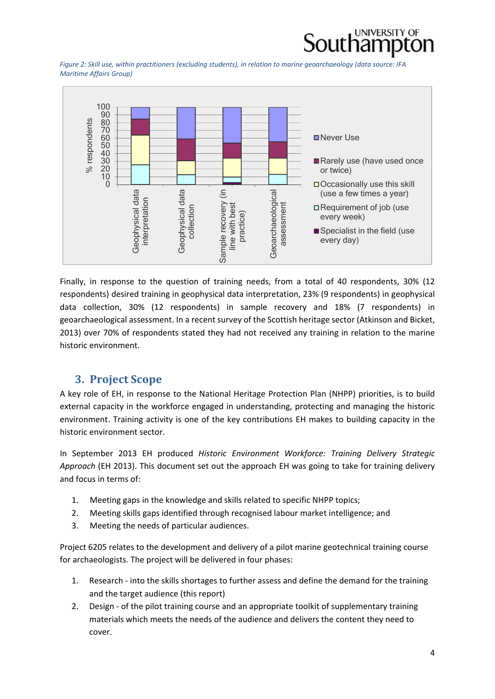

Figure 2: Skill use, within practitioners (excluding students), in relation to marine geoarchaeology (data source: IFA *Maritime Affairs Group)*



Finally, in response to the question of training needs, from a total of 40 respondents, 30% (12 respondents) desired training in geophysical data interpretation, 23% (9 respondents) in geophysical data collection, 30% (12 respondents) in sample recovery and 18% (7 respondents) in geoarchaeological assessment. In a recent survey of the Scottish heritage sector (Atkinson and Bicket, 2013) over 70% of respondents stated they had not received any training in relation to the marine historic environment.

#### **3. Project Scope**

A key role of EH, in response to the National Heritage Protection Plan (NHPP) priorities, is to build external capacity in the workforce engaged in understanding, protecting and managing the historic environment. Training activity is one of the key contributions EH makes to building capacity in the historic environment sector.

In September 2013 EH produced *Historic Environment Workforce: Training Delivery Strategic Approach* (EH 2013). This document set out the approach EH was going to take for training delivery and focus in terms of:

- 1. Meeting gaps in the knowledge and skills related to specific NHPP topics;
- 2. Meeting skills gaps identified through recognised labour market intelligence; and
- 3. Meeting the needs of particular audiences.

Project 6205 relates to the development and delivery of a pilot marine geotechnical training course for archaeologists. The project will be delivered in four phases:

- 1. Research into the skills shortages to further assess and define the demand for the training and the target audience (this report)
- 2. Design of the pilot training course and an appropriate toolkit of supplementary training materials which meets the needs of the audience and delivers the content they need to cover.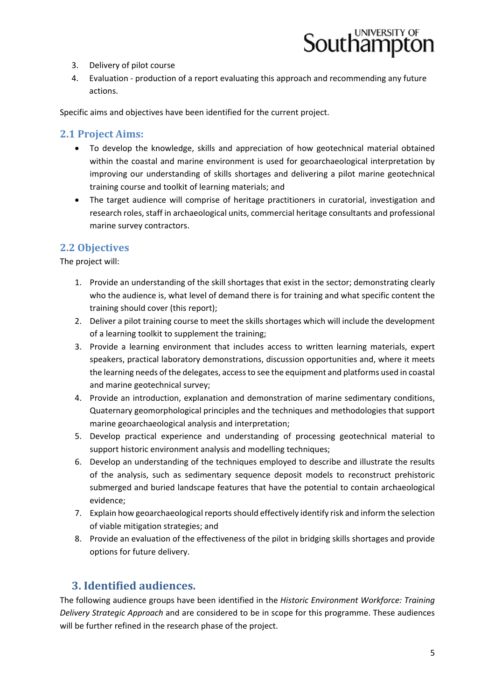

- 3. Delivery of pilot course
- 4. Evaluation production of a report evaluating this approach and recommending any future actions.

Specific aims and objectives have been identified for the current project.

#### **2.1 Project Aims:**

- To develop the knowledge, skills and appreciation of how geotechnical material obtained within the coastal and marine environment is used for geoarchaeological interpretation by improving our understanding of skills shortages and delivering a pilot marine geotechnical training course and toolkit of learning materials; and
- The target audience will comprise of heritage practitioners in curatorial, investigation and research roles, staff in archaeological units, commercial heritage consultants and professional marine survey contractors.

#### **2.2 Objectives**

The project will:

- 1. Provide an understanding of the skill shortages that exist in the sector; demonstrating clearly who the audience is, what level of demand there is for training and what specific content the training should cover (this report);
- 2. Deliver a pilot training course to meet the skills shortages which will include the development of a learning toolkit to supplement the training;
- 3. Provide a learning environment that includes access to written learning materials, expert speakers, practical laboratory demonstrations, discussion opportunities and, where it meets the learning needs of the delegates, accessto see the equipment and platforms used in coastal and marine geotechnical survey;
- 4. Provide an introduction, explanation and demonstration of marine sedimentary conditions, Quaternary geomorphological principles and the techniques and methodologies that support marine geoarchaeological analysis and interpretation;
- 5. Develop practical experience and understanding of processing geotechnical material to support historic environment analysis and modelling techniques;
- 6. Develop an understanding of the techniques employed to describe and illustrate the results of the analysis, such as sedimentary sequence deposit models to reconstruct prehistoric submerged and buried landscape features that have the potential to contain archaeological evidence;
- 7. Explain how geoarchaeological reportsshould effectively identify risk and inform the selection of viable mitigation strategies; and
- 8. Provide an evaluation of the effectiveness of the pilot in bridging skills shortages and provide options for future delivery.

### **3. Identified audiences.**

The following audience groups have been identified in the *Historic Environment Workforce: Training Delivery Strategic Approach* and are considered to be in scope for this programme. These audiences will be further refined in the research phase of the project.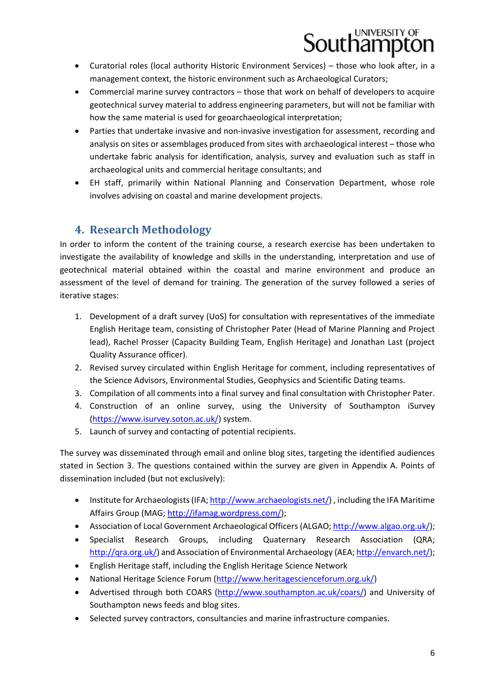- Curatorial roles (local authority Historic Environment Services) those who look after, in a management context, the historic environment such as Archaeological Curators;
- Commercial marine survey contractors those that work on behalf of developers to acquire geotechnical survey material to address engineering parameters, but will not be familiar with how the same material is used for geoarchaeological interpretation;
- Parties that undertake invasive and non-invasive investigation for assessment, recording and analysis on sites or assemblages produced from sites with archaeological interest – those who undertake fabric analysis for identification, analysis, survey and evaluation such as staff in archaeological units and commercial heritage consultants; and
- EH staff, primarily within National Planning and Conservation Department, whose role involves advising on coastal and marine development projects.

### **4. Research Methodology**

In order to inform the content of the training course, a research exercise has been undertaken to investigate the availability of knowledge and skills in the understanding, interpretation and use of geotechnical material obtained within the coastal and marine environment and produce an assessment of the level of demand for training. The generation of the survey followed a series of iterative stages:

- 1. Development of a draft survey (UoS) for consultation with representatives of the immediate English Heritage team, consisting of Christopher Pater (Head of Marine Planning and Project lead), Rachel Prosser (Capacity Building Team, English Heritage) and Jonathan Last (project Quality Assurance officer).
- 2. Revised survey circulated within English Heritage for comment, including representatives of the Science Advisors, Environmental Studies, Geophysics and Scientific Dating teams.
- 3. Compilation of all comments into a final survey and final consultation with Christopher Pater.
- 4. Construction of an online survey, using the University of Southampton iSurvey (https://www.isurvey.soton.ac.uk/) system.
- 5. Launch of survey and contacting of potential recipients.

The survey was disseminated through email and online blog sites, targeting the identified audiences stated in Section 3. The questions contained within the survey are given in Appendix A. Points of dissemination included (but not exclusively):

- Institute for Archaeologists (IFA; http://www.archaeologists.net/), including the IFA Maritime Affairs Group (MAG; http://ifamag.wordpress.com/);
- Association of Local Government Archaeological Officers (ALGAO; http://www.algao.org.uk/);
- Specialist Research Groups, including Quaternary Research Association (QRA; http://qra.org.uk/) and Association of Environmental Archaeology (AEA; http://envarch.net/);
- English Heritage staff, including the English Heritage Science Network
- National Heritage Science Forum (http://www.heritagescienceforum.org.uk/)
- Advertised through both COARS (http://www.southampton.ac.uk/coars/) and University of Southampton news feeds and blog sites.
- Selected survey contractors, consultancies and marine infrastructure companies.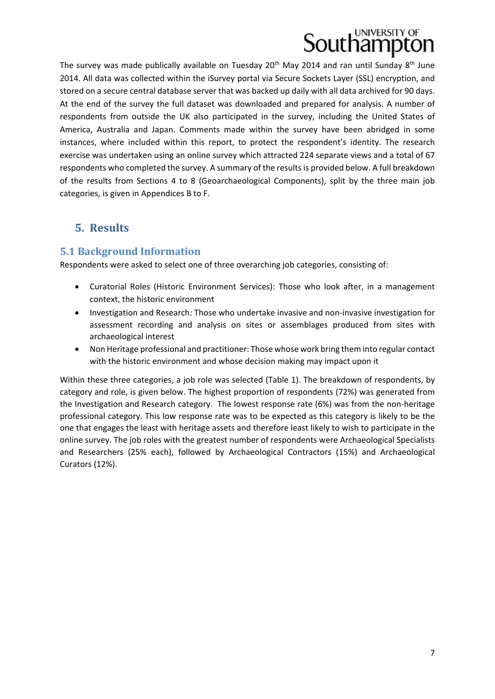The survey was made publically available on Tuesday  $20<sup>th</sup>$  May 2014 and ran until Sunday  $8<sup>th</sup>$  June 2014. All data was collected within the iSurvey portal via Secure Sockets Layer (SSL) encryption, and stored on a secure central database server that was backed up daily with all data archived for 90 days. At the end of the survey the full dataset was downloaded and prepared for analysis. A number of respondents from outside the UK also participated in the survey, including the United States of America, Australia and Japan. Comments made within the survey have been abridged in some instances, where included within this report, to protect the respondent's identity. The research exercise was undertaken using an online survey which attracted 224 separate views and a total of 67 respondents who completed the survey. A summary of the results is provided below. A full breakdown of the results from Sections 4 to 8 (Geoarchaeological Components), split by the three main job categories, is given in Appendices B to F.

### **5. Results**

#### **5.1 Background Information**

Respondents were asked to select one of three overarching job categories, consisting of:

- Curatorial Roles (Historic Environment Services): Those who look after, in a management context, the historic environment
- Investigation and Research: Those who undertake invasive and non-invasive investigation for assessment recording and analysis on sites or assemblages produced from sites with archaeological interest
- Non Heritage professional and practitioner: Those whose work bring them into regular contact with the historic environment and whose decision making may impact upon it

Within these three categories, a job role was selected (Table 1). The breakdown of respondents, by category and role, is given below. The highest proportion of respondents (72%) was generated from the Investigation and Research category. The lowest response rate (6%) was from the non-heritage professional category. This low response rate was to be expected as this category is likely to be the one that engages the least with heritage assets and therefore least likely to wish to participate in the online survey. The job roles with the greatest number of respondents were Archaeological Specialists and Researchers (25% each), followed by Archaeological Contractors (15%) and Archaeological Curators (12%).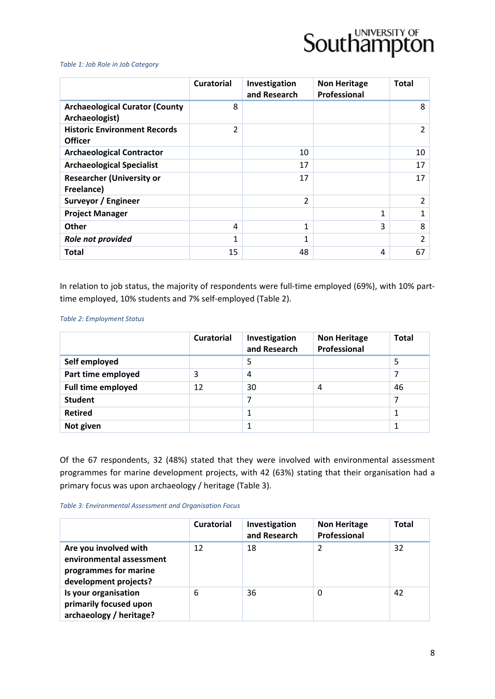

#### *Table 1: Job Role in Job Category*

|                                                         | <b>Curatorial</b> | Investigation<br>and Research | <b>Non Heritage</b><br>Professional | <b>Total</b> |
|---------------------------------------------------------|-------------------|-------------------------------|-------------------------------------|--------------|
| <b>Archaeological Curator (County</b><br>Archaeologist) | 8                 |                               |                                     | 8            |
| <b>Historic Environment Records</b><br><b>Officer</b>   | $\overline{2}$    |                               |                                     | 2            |
| <b>Archaeological Contractor</b>                        |                   | 10                            |                                     | 10           |
| <b>Archaeological Specialist</b>                        |                   | 17                            |                                     | 17           |
| <b>Researcher (University or</b><br>Freelance)          |                   | 17                            |                                     | 17           |
| Surveyor / Engineer                                     |                   | $\overline{2}$                |                                     | 2            |
| <b>Project Manager</b>                                  |                   |                               | 1                                   | 1            |
| <b>Other</b>                                            | 4                 | $\mathbf{1}$                  | 3                                   | 8            |
| Role not provided                                       | 1                 | 1                             |                                     | 2            |
| <b>Total</b>                                            | 15                | 48                            | 4                                   | 67           |

In relation to job status, the majority of respondents were full-time employed (69%), with 10% parttime employed, 10% students and 7% self‐employed (Table 2).

#### *Table 2: Employment Status*

|                           | <b>Curatorial</b> | Investigation<br>and Research | <b>Non Heritage</b><br>Professional | <b>Total</b> |
|---------------------------|-------------------|-------------------------------|-------------------------------------|--------------|
| Self employed             |                   | 5                             |                                     | 5            |
| Part time employed        | 3                 | 4                             |                                     |              |
| <b>Full time employed</b> | 12                | 30                            | $\overline{4}$                      | 46           |
| <b>Student</b>            |                   | 7                             |                                     | 7            |
| <b>Retired</b>            |                   |                               |                                     |              |
| Not given                 |                   |                               |                                     |              |

Of the 67 respondents, 32 (48%) stated that they were involved with environmental assessment programmes for marine development projects, with 42 (63%) stating that their organisation had a primary focus was upon archaeology / heritage (Table 3).

#### *Table 3: Environmental Assessment and Organisation Focus*

|                                                                                                     | <b>Curatorial</b> | Investigation<br>and Research | <b>Non Heritage</b><br>Professional | <b>Total</b> |
|-----------------------------------------------------------------------------------------------------|-------------------|-------------------------------|-------------------------------------|--------------|
| Are you involved with<br>environmental assessment<br>programmes for marine<br>development projects? | 12                | 18                            | 2                                   | 32           |
| Is your organisation<br>primarily focused upon<br>archaeology / heritage?                           | 6                 | 36                            | 0                                   | 42           |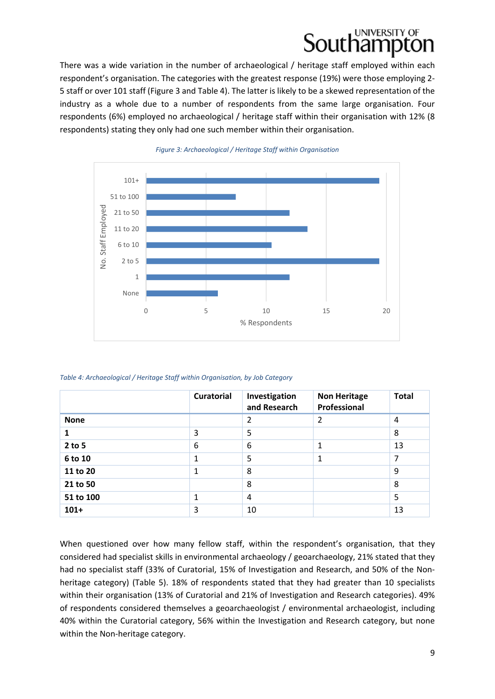### UNIVERSITY OF puthampt

There was a wide variation in the number of archaeological / heritage staff employed within each respondent's organisation. The categories with the greatest response (19%) were those employing 2‐ 5 staff or over 101 staff (Figure 3 and Table 4). The latter is likely to be a skewed representation of the industry as a whole due to a number of respondents from the same large organisation. Four respondents (6%) employed no archaeological / heritage staff within their organisation with 12% (8 respondents) stating they only had one such member within their organisation.



#### *Figure 3: Archaeological / Heritage Staff within Organisation*

*Table 4: Archaeological / Heritage Staff within Organisation, by Job Category*

|             | <b>Curatorial</b> | Investigation<br>and Research | <b>Non Heritage</b><br>Professional | <b>Total</b> |
|-------------|-------------------|-------------------------------|-------------------------------------|--------------|
| <b>None</b> |                   | 2                             | 2                                   | 4            |
| 1           | 3                 | 5                             |                                     | 8            |
| $2$ to 5    | 6                 | 6                             | 1                                   | 13           |
| 6 to 10     | 1                 | 5                             | 1                                   | 7            |
| 11 to 20    | 1                 | 8                             |                                     | 9            |
| 21 to 50    |                   | 8                             |                                     | 8            |
| 51 to 100   | 1                 | 4                             |                                     | 5            |
| $101+$      | 3                 | 10                            |                                     | 13           |

When questioned over how many fellow staff, within the respondent's organisation, that they considered had specialist skills in environmental archaeology / geoarchaeology, 21% stated that they had no specialist staff (33% of Curatorial, 15% of Investigation and Research, and 50% of the Nonheritage category) (Table 5). 18% of respondents stated that they had greater than 10 specialists within their organisation (13% of Curatorial and 21% of Investigation and Research categories). 49% of respondents considered themselves a geoarchaeologist / environmental archaeologist, including 40% within the Curatorial category, 56% within the Investigation and Research category, but none within the Non-heritage category.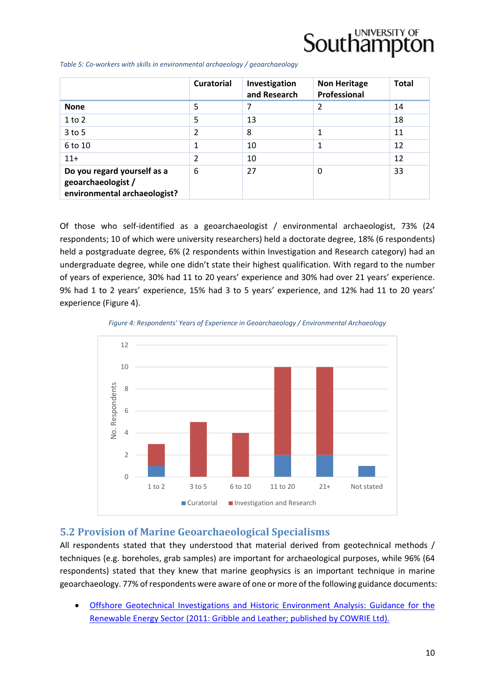### UNIVERSITY OF Southampto

*Table 5: Co‐workers with skills in environmental archaeology / geoarchaeology*

|                                                                                   | <b>Curatorial</b> | Investigation<br>and Research | <b>Non Heritage</b><br>Professional | <b>Total</b> |
|-----------------------------------------------------------------------------------|-------------------|-------------------------------|-------------------------------------|--------------|
| <b>None</b>                                                                       | 5                 | 7                             | 2                                   | 14           |
| 1 to 2                                                                            | 5                 | 13                            |                                     | 18           |
| $3$ to 5                                                                          | $\overline{2}$    | 8                             | 1                                   | 11           |
| 6 to 10                                                                           | 1                 | 10                            | 1                                   | 12           |
| $11+$                                                                             | 2                 | 10                            |                                     | 12           |
| Do you regard yourself as a<br>geoarchaeologist /<br>environmental archaeologist? | 6                 | 27                            | 0                                   | 33           |

Of those who self‐identified as a geoarchaeologist / environmental archaeologist, 73% (24 respondents; 10 of which were university researchers) held a doctorate degree, 18% (6 respondents) held a postgraduate degree, 6% (2 respondents within Investigation and Research category) had an undergraduate degree, while one didn't state their highest qualification. With regard to the number of years of experience, 30% had 11 to 20 years' experience and 30% had over 21 years' experience. 9% had 1 to 2 years' experience, 15% had 3 to 5 years' experience, and 12% had 11 to 20 years' experience (Figure 4).

*Figure 4: Respondents' Years of Experience in Geoarchaeology / Environmental Archaeology*



#### **5.2 Provision of Marine Geoarchaeological Specialisms**

All respondents stated that they understood that material derived from geotechnical methods / techniques (e.g. boreholes, grab samples) are important for archaeological purposes, while 96% (64 respondents) stated that they knew that marine geophysics is an important technique in marine geoarchaeology. 77% of respondents were aware of one or more of the following guidance documents:

 Offshore Geotechnical Investigations and Historic Environment Analysis: Guidance for the Renewable Energy Sector (2011: Gribble and Leather; published by COWRIE Ltd).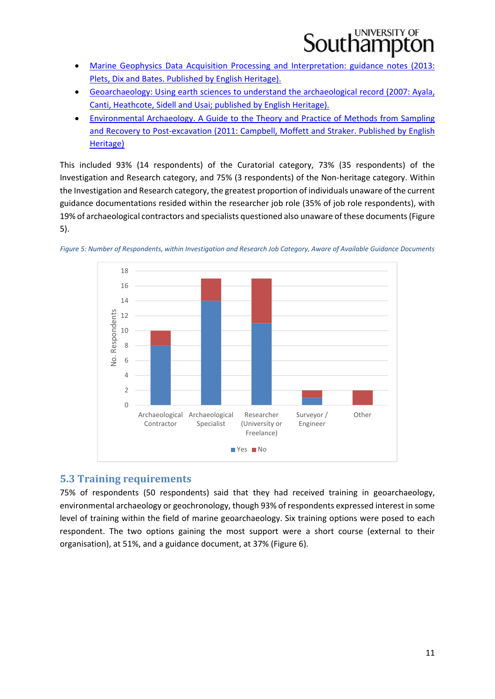### UNIVERSITY OF buthampi

- Marine Geophysics Data Acquisition Processing and Interpretation: guidance notes (2013: Plets, Dix and Bates. Published by English Heritage).
- Geoarchaeology: Using earth sciences to understand the archaeological record (2007: Ayala, Canti, Heathcote, Sidell and Usai; published by English Heritage).
- Environmental Archaeology. A Guide to the Theory and Practice of Methods from Sampling and Recovery to Post‐excavation (2011: Campbell, Moffett and Straker. Published by English Heritage)

This included 93% (14 respondents) of the Curatorial category, 73% (35 respondents) of the Investigation and Research category, and 75% (3 respondents) of the Non‐heritage category. Within the Investigation and Research category, the greatest proportion of individuals unaware of the current guidance documentations resided within the researcher job role (35% of job role respondents), with 19% of archaeological contractors and specialists questioned also unaware of these documents(Figure 5).



Figure 5: Number of Respondents, within Investigation and Research Job Category, Aware of Available Guidance Documents

#### **5.3 Training requirements**

75% of respondents (50 respondents) said that they had received training in geoarchaeology, environmental archaeology or geochronology, though 93% of respondents expressed interest in some level of training within the field of marine geoarchaeology. Six training options were posed to each respondent. The two options gaining the most support were a short course (external to their organisation), at 51%, and a guidance document, at 37% (Figure 6).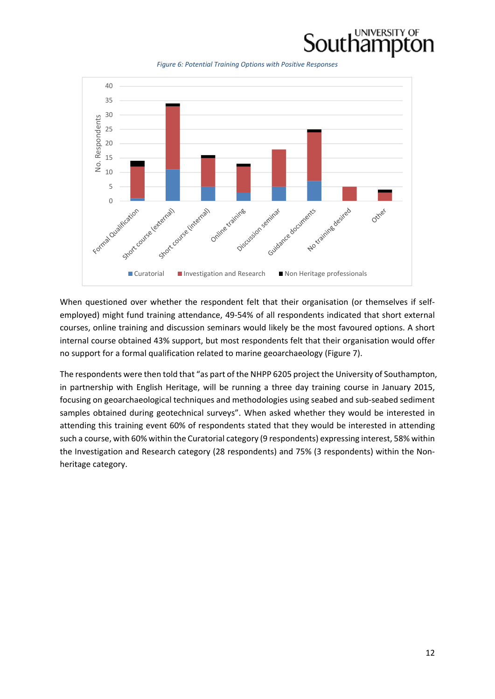

*Figure 6: Potential Training Options with Positive Responses*



When questioned over whether the respondent felt that their organisation (or themselves if selfemployed) might fund training attendance, 49‐54% of all respondents indicated that short external courses, online training and discussion seminars would likely be the most favoured options. A short internal course obtained 43% support, but most respondents felt that their organisation would offer no support for a formal qualification related to marine geoarchaeology (Figure 7).

The respondents were then told that "as part of the NHPP 6205 project the University of Southampton, in partnership with English Heritage, will be running a three day training course in January 2015, focusing on geoarchaeological techniques and methodologies using seabed and sub‐seabed sediment samples obtained during geotechnical surveys". When asked whether they would be interested in attending this training event 60% of respondents stated that they would be interested in attending such a course, with 60% within the Curatorial category (9 respondents) expressing interest, 58% within the Investigation and Research category (28 respondents) and 75% (3 respondents) within the Nonheritage category.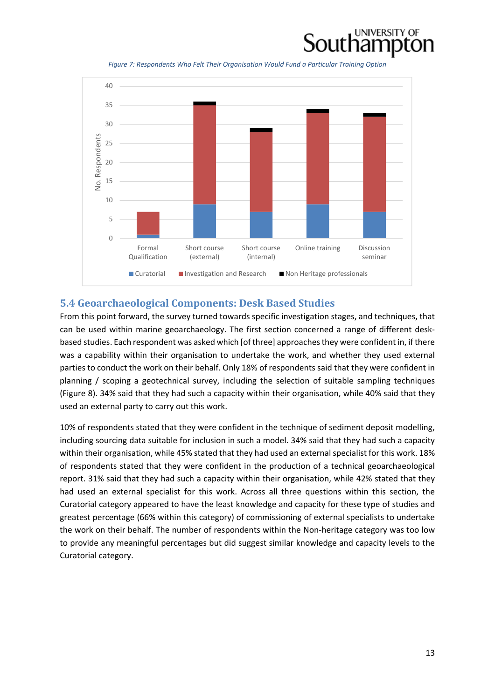

*Figure 7: Respondents Who Felt Their Organisation Would Fund a Particular Training Option*



#### **5.4 Geoarchaeological Components: Desk Based Studies**

From this point forward, the survey turned towards specific investigation stages, and techniques, that can be used within marine geoarchaeology. The first section concerned a range of different desk‐ based studies. Each respondent was asked which [of three] approachesthey were confident in, if there was a capability within their organisation to undertake the work, and whether they used external parties to conduct the work on their behalf. Only 18% of respondents said that they were confident in planning / scoping a geotechnical survey, including the selection of suitable sampling techniques (Figure 8). 34% said that they had such a capacity within their organisation, while 40% said that they used an external party to carry out this work.

10% of respondents stated that they were confident in the technique of sediment deposit modelling, including sourcing data suitable for inclusion in such a model. 34% said that they had such a capacity within their organisation, while 45% stated that they had used an external specialist for this work. 18% of respondents stated that they were confident in the production of a technical geoarchaeological report. 31% said that they had such a capacity within their organisation, while 42% stated that they had used an external specialist for this work. Across all three questions within this section, the Curatorial category appeared to have the least knowledge and capacity for these type of studies and greatest percentage (66% within this category) of commissioning of external specialists to undertake the work on their behalf. The number of respondents within the Non-heritage category was too low to provide any meaningful percentages but did suggest similar knowledge and capacity levels to the Curatorial category.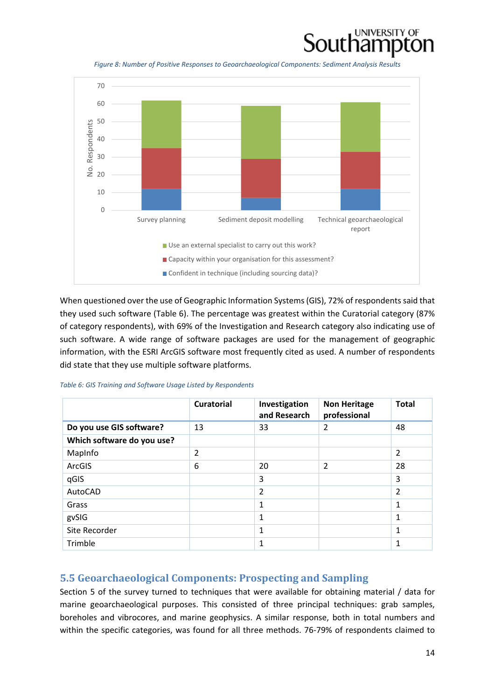

*Figure 8: Number of Positive Responses to Geoarchaeological Components: Sediment Analysis Results*



When questioned over the use of Geographic Information Systems(GIS), 72% of respondentssaid that they used such software (Table 6). The percentage was greatest within the Curatorial category (87% of category respondents), with 69% of the Investigation and Research category also indicating use of such software. A wide range of software packages are used for the management of geographic information, with the ESRI ArcGIS software most frequently cited as used. A number of respondents did state that they use multiple software platforms.

| Table 6: GIS Training and Software Usage Listed by Respondents |  |  |
|----------------------------------------------------------------|--|--|
|----------------------------------------------------------------|--|--|

|                            | <b>Curatorial</b> | Investigation<br>and Research | <b>Non Heritage</b><br>professional | <b>Total</b>   |
|----------------------------|-------------------|-------------------------------|-------------------------------------|----------------|
| Do you use GIS software?   | 13                | 33                            | $\overline{2}$                      | 48             |
| Which software do you use? |                   |                               |                                     |                |
| MapInfo                    | $\overline{2}$    |                               |                                     | $\overline{2}$ |
| ArcGIS                     | 6                 | 20                            | $\overline{2}$                      | 28             |
| qGIS                       |                   | 3                             |                                     | 3              |
| AutoCAD                    |                   | $\overline{2}$                |                                     | $\overline{2}$ |
| Grass                      |                   | 1                             |                                     | $\mathbf{1}$   |
| gvSIG                      |                   | 1                             |                                     | $\mathbf{1}$   |
| Site Recorder              |                   | 1                             |                                     | 1              |
| Trimble                    |                   | 1                             |                                     | $\mathbf{1}$   |

#### **5.5 Geoarchaeological Components: Prospecting and Sampling**

Section 5 of the survey turned to techniques that were available for obtaining material / data for marine geoarchaeological purposes. This consisted of three principal techniques: grab samples, boreholes and vibrocores, and marine geophysics. A similar response, both in total numbers and within the specific categories, was found for all three methods. 76‐79% of respondents claimed to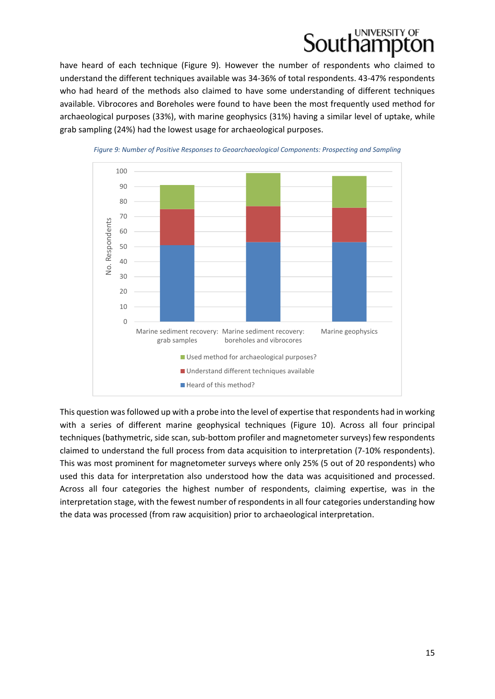### UNIVERSITY OF puthampt

have heard of each technique (Figure 9). However the number of respondents who claimed to understand the different techniques available was 34‐36% of total respondents. 43‐47% respondents who had heard of the methods also claimed to have some understanding of different techniques available. Vibrocores and Boreholes were found to have been the most frequently used method for archaeological purposes (33%), with marine geophysics (31%) having a similar level of uptake, while grab sampling (24%) had the lowest usage for archaeological purposes.



*Figure 9: Number of Positive Responses to Geoarchaeological Components: Prospecting and Sampling*

This question was followed up with a probe into the level of expertise that respondents had in working with a series of different marine geophysical techniques (Figure 10). Across all four principal techniques (bathymetric, side scan, sub-bottom profiler and magnetometer surveys) few respondents claimed to understand the full process from data acquisition to interpretation (7‐10% respondents). This was most prominent for magnetometer surveys where only 25% (5 out of 20 respondents) who used this data for interpretation also understood how the data was acquisitioned and processed. Across all four categories the highest number of respondents, claiming expertise, was in the interpretation stage, with the fewest number of respondents in all four categories understanding how the data was processed (from raw acquisition) prior to archaeological interpretation.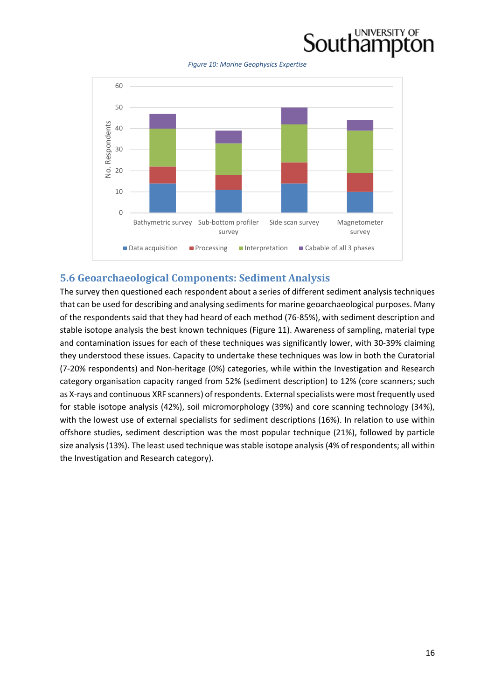### UNIVERSITY OF **Southampton**

*Figure 10: Marine Geophysics Expertise*



#### **5.6 Geoarchaeological Components: Sediment Analysis**

The survey then questioned each respondent about a series of different sediment analysis techniques that can be used for describing and analysing sediments for marine geoarchaeological purposes. Many of the respondents said that they had heard of each method (76‐85%), with sediment description and stable isotope analysis the best known techniques (Figure 11). Awareness of sampling, material type and contamination issues for each of these techniques was significantly lower, with 30-39% claiming they understood these issues. Capacity to undertake these techniques was low in both the Curatorial (7‐20% respondents) and Non‐heritage (0%) categories, while within the Investigation and Research category organisation capacity ranged from 52% (sediment description) to 12% (core scanners; such as X-rays and continuous XRF scanners) of respondents. External specialists were most frequently used for stable isotope analysis (42%), soil micromorphology (39%) and core scanning technology (34%), with the lowest use of external specialists for sediment descriptions (16%). In relation to use within offshore studies, sediment description was the most popular technique (21%), followed by particle size analysis (13%). The least used technique was stable isotope analysis (4% of respondents; all within the Investigation and Research category).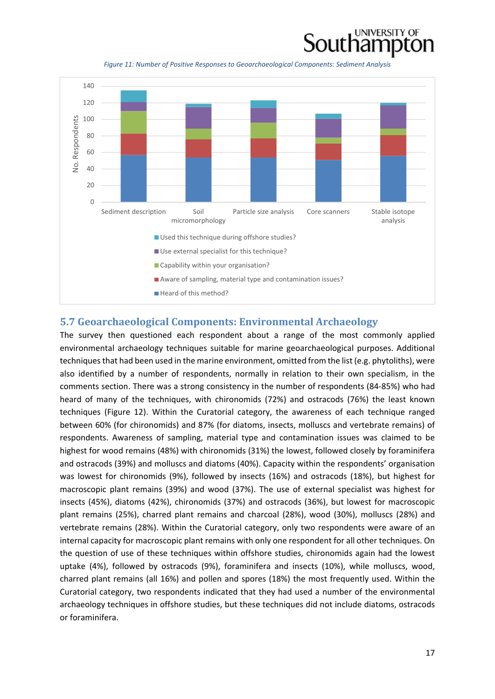

*Figure 11: Number of Positive Responses to Geoarchaeological Components: Sediment Analysis*



#### **5.7 Geoarchaeological Components: Environmental Archaeology**

The survey then questioned each respondent about a range of the most commonly applied environmental archaeology techniques suitable for marine geoarchaeological purposes. Additional techniquesthat had been used in the marine environment, omitted from the list (e.g. phytoliths), were also identified by a number of respondents, normally in relation to their own specialism, in the comments section. There was a strong consistency in the number of respondents (84‐85%) who had heard of many of the techniques, with chironomids (72%) and ostracods (76%) the least known techniques (Figure 12). Within the Curatorial category, the awareness of each technique ranged between 60% (for chironomids) and 87% (for diatoms, insects, molluscs and vertebrate remains) of respondents. Awareness of sampling, material type and contamination issues was claimed to be highest for wood remains (48%) with chironomids (31%) the lowest, followed closely by foraminifera and ostracods (39%) and molluscs and diatoms (40%). Capacity within the respondents' organisation was lowest for chironomids (9%), followed by insects (16%) and ostracods (18%), but highest for macroscopic plant remains (39%) and wood (37%). The use of external specialist was highest for insects (45%), diatoms (42%), chironomids (37%) and ostracods (36%), but lowest for macroscopic plant remains (25%), charred plant remains and charcoal (28%), wood (30%), molluscs (28%) and vertebrate remains (28%). Within the Curatorial category, only two respondents were aware of an internal capacity for macroscopic plant remains with only one respondent for all other techniques. On the question of use of these techniques within offshore studies, chironomids again had the lowest uptake (4%), followed by ostracods (9%), foraminifera and insects (10%), while molluscs, wood, charred plant remains (all 16%) and pollen and spores (18%) the most frequently used. Within the Curatorial category, two respondents indicated that they had used a number of the environmental archaeology techniques in offshore studies, but these techniques did not include diatoms, ostracods or foraminifera.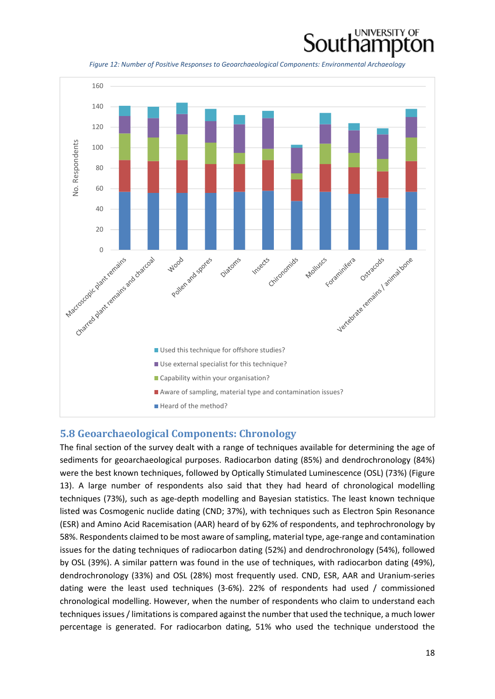

*Figure 12: Number of Positive Responses to Geoarchaeological Components: Environmental Archaeology*



#### **5.8 Geoarchaeological Components: Chronology**

The final section of the survey dealt with a range of techniques available for determining the age of sediments for geoarchaeological purposes. Radiocarbon dating (85%) and dendrochronology (84%) were the best known techniques, followed by Optically Stimulated Luminescence (OSL) (73%) (Figure 13). A large number of respondents also said that they had heard of chronological modelling techniques (73%), such as age‐depth modelling and Bayesian statistics. The least known technique listed was Cosmogenic nuclide dating (CND; 37%), with techniques such as Electron Spin Resonance (ESR) and Amino Acid Racemisation (AAR) heard of by 62% of respondents, and tephrochronology by 58%. Respondents claimed to be most aware of sampling, material type, age-range and contamination issues for the dating techniques of radiocarbon dating (52%) and dendrochronology (54%), followed by OSL (39%). A similar pattern was found in the use of techniques, with radiocarbon dating (49%), dendrochronology (33%) and OSL (28%) most frequently used. CND, ESR, AAR and Uranium‐series dating were the least used techniques (3‐6%). 22% of respondents had used / commissioned chronological modelling. However, when the number of respondents who claim to understand each techniques issues / limitations is compared against the number that used the technique, a much lower percentage is generated. For radiocarbon dating, 51% who used the technique understood the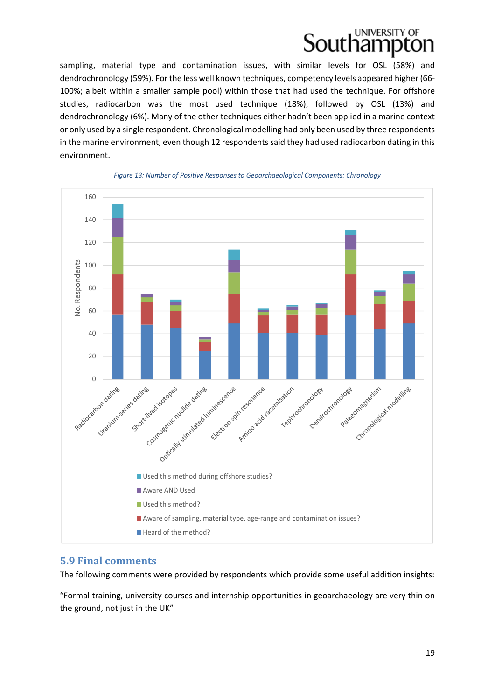sampling, material type and contamination issues, with similar levels for OSL (58%) and dendrochronology (59%). For the less well known techniques, competency levels appeared higher (66‐ 100%; albeit within a smaller sample pool) within those that had used the technique. For offshore studies, radiocarbon was the most used technique (18%), followed by OSL (13%) and dendrochronology (6%). Many of the other techniques either hadn't been applied in a marine context or only used by a single respondent. Chronological modelling had only been used by three respondents in the marine environment, even though 12 respondents said they had used radiocarbon dating in this environment.



#### *Figure 13: Number of Positive Responses to Geoarchaeological Components: Chronology*

#### **5.9 Final comments**

The following comments were provided by respondents which provide some useful addition insights:

"Formal training, university courses and internship opportunities in geoarchaeology are very thin on the ground, not just in the UK"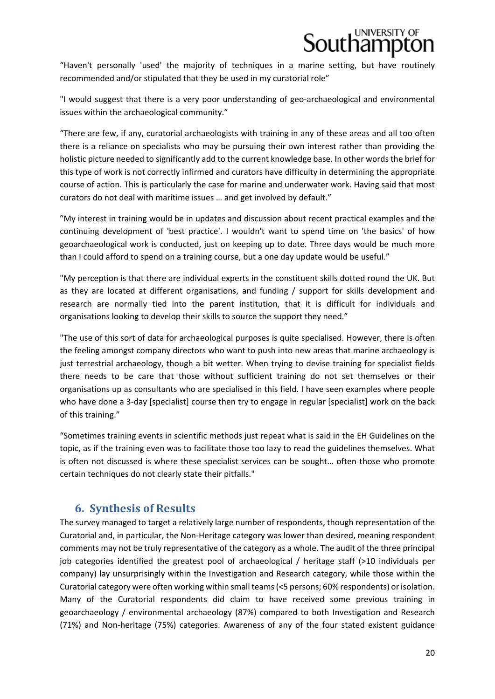"Haven't personally 'used' the majority of techniques in a marine setting, but have routinely recommended and/or stipulated that they be used in my curatorial role"

"I would suggest that there is a very poor understanding of geo‐archaeological and environmental issues within the archaeological community."

"There are few, if any, curatorial archaeologists with training in any of these areas and all too often there is a reliance on specialists who may be pursuing their own interest rather than providing the holistic picture needed to significantly add to the current knowledge base. In other words the brief for this type of work is not correctly infirmed and curators have difficulty in determining the appropriate course of action. This is particularly the case for marine and underwater work. Having said that most curators do not deal with maritime issues … and get involved by default."

"My interest in training would be in updates and discussion about recent practical examples and the continuing development of 'best practice'. I wouldn't want to spend time on 'the basics' of how geoarchaeological work is conducted, just on keeping up to date. Three days would be much more than I could afford to spend on a training course, but a one day update would be useful."

"My perception is that there are individual experts in the constituent skills dotted round the UK. But as they are located at different organisations, and funding / support for skills development and research are normally tied into the parent institution, that it is difficult for individuals and organisations looking to develop their skills to source the support they need."

"The use of this sort of data for archaeological purposes is quite specialised. However, there is often the feeling amongst company directors who want to push into new areas that marine archaeology is just terrestrial archaeology, though a bit wetter. When trying to devise training for specialist fields there needs to be care that those without sufficient training do not set themselves or their organisations up as consultants who are specialised in this field. I have seen examples where people who have done a 3-day [specialist] course then try to engage in regular [specialist] work on the back of this training."

"Sometimes training events in scientific methods just repeat what is said in the EH Guidelines on the topic, as if the training even was to facilitate those too lazy to read the guidelines themselves. What is often not discussed is where these specialist services can be sought… often those who promote certain techniques do not clearly state their pitfalls."

### **6. Synthesis of Results**

The survey managed to target a relatively large number of respondents, though representation of the Curatorial and, in particular, the Non‐Heritage category was lower than desired, meaning respondent comments may not be truly representative of the category as a whole. The audit of the three principal job categories identified the greatest pool of archaeological / heritage staff (>10 individuals per company) lay unsurprisingly within the Investigation and Research category, while those within the Curatorial category were often working within small teams(<5 persons; 60% respondents) orisolation. Many of the Curatorial respondents did claim to have received some previous training in geoarchaeology / environmental archaeology (87%) compared to both Investigation and Research (71%) and Non‐heritage (75%) categories. Awareness of any of the four stated existent guidance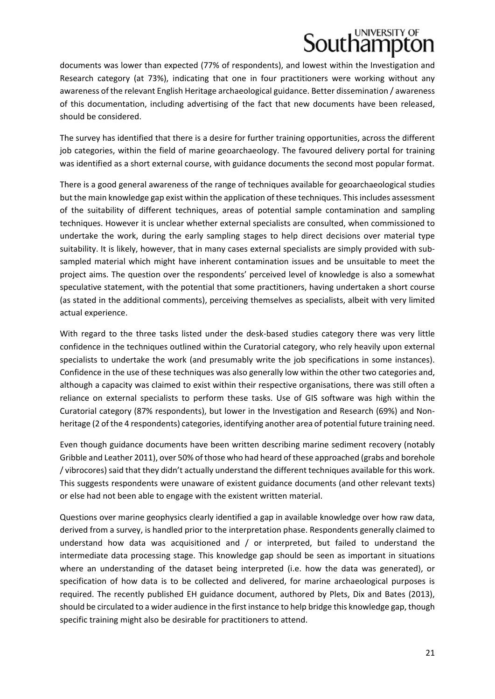## **Southamptc**

documents was lower than expected (77% of respondents), and lowest within the Investigation and Research category (at 73%), indicating that one in four practitioners were working without any awareness of the relevant English Heritage archaeological guidance. Better dissemination / awareness of this documentation, including advertising of the fact that new documents have been released, should be considered.

The survey has identified that there is a desire for further training opportunities, across the different job categories, within the field of marine geoarchaeology. The favoured delivery portal for training was identified as a short external course, with guidance documents the second most popular format.

There is a good general awareness of the range of techniques available for geoarchaeological studies but the main knowledge gap exist within the application of these techniques. Thisincludes assessment of the suitability of different techniques, areas of potential sample contamination and sampling techniques. However it is unclear whether external specialists are consulted, when commissioned to undertake the work, during the early sampling stages to help direct decisions over material type suitability. It is likely, however, that in many cases external specialists are simply provided with subsampled material which might have inherent contamination issues and be unsuitable to meet the project aims. The question over the respondents' perceived level of knowledge is also a somewhat speculative statement, with the potential that some practitioners, having undertaken a short course (as stated in the additional comments), perceiving themselves as specialists, albeit with very limited actual experience.

With regard to the three tasks listed under the desk-based studies category there was very little confidence in the techniques outlined within the Curatorial category, who rely heavily upon external specialists to undertake the work (and presumably write the job specifications in some instances). Confidence in the use of these techniques was also generally low within the other two categories and, although a capacity was claimed to exist within their respective organisations, there was still often a reliance on external specialists to perform these tasks. Use of GIS software was high within the Curatorial category (87% respondents), but lower in the Investigation and Research (69%) and Non‐ heritage (2 of the 4 respondents) categories, identifying another area of potential future training need.

Even though guidance documents have been written describing marine sediment recovery (notably Gribble and Leather 2011), over 50% of those who had heard of these approached (grabs and borehole / vibrocores) said that they didn't actually understand the different techniques available for this work. This suggests respondents were unaware of existent guidance documents (and other relevant texts) or else had not been able to engage with the existent written material.

Questions over marine geophysics clearly identified a gap in available knowledge over how raw data, derived from a survey, is handled prior to the interpretation phase. Respondents generally claimed to understand how data was acquisitioned and / or interpreted, but failed to understand the intermediate data processing stage. This knowledge gap should be seen as important in situations where an understanding of the dataset being interpreted (i.e. how the data was generated), or specification of how data is to be collected and delivered, for marine archaeological purposes is required. The recently published EH guidance document, authored by Plets, Dix and Bates (2013), should be circulated to a wider audience in the first instance to help bridge this knowledge gap, though specific training might also be desirable for practitioners to attend.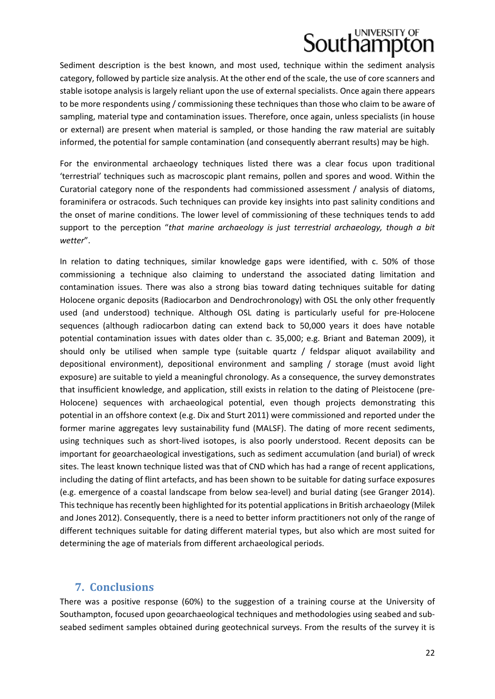Sediment description is the best known, and most used, technique within the sediment analysis category, followed by particle size analysis. At the other end of the scale, the use of core scanners and stable isotope analysis is largely reliant upon the use of external specialists. Once again there appears to be more respondents using / commissioning these techniques than those who claim to be aware of sampling, material type and contamination issues. Therefore, once again, unless specialists (in house or external) are present when material is sampled, or those handing the raw material are suitably informed, the potential for sample contamination (and consequently aberrant results) may be high.

For the environmental archaeology techniques listed there was a clear focus upon traditional 'terrestrial' techniques such as macroscopic plant remains, pollen and spores and wood. Within the Curatorial category none of the respondents had commissioned assessment / analysis of diatoms, foraminifera or ostracods. Such techniques can provide key insights into past salinity conditions and the onset of marine conditions. The lower level of commissioning of these techniques tends to add support to the perception "*that marine archaeology is just terrestrial archaeology, though a bit wetter*".

In relation to dating techniques, similar knowledge gaps were identified, with c. 50% of those commissioning a technique also claiming to understand the associated dating limitation and contamination issues. There was also a strong bias toward dating techniques suitable for dating Holocene organic deposits (Radiocarbon and Dendrochronology) with OSL the only other frequently used (and understood) technique. Although OSL dating is particularly useful for pre‐Holocene sequences (although radiocarbon dating can extend back to 50,000 years it does have notable potential contamination issues with dates older than c. 35,000; e.g. Briant and Bateman 2009), it should only be utilised when sample type (suitable quartz / feldspar aliquot availability and depositional environment), depositional environment and sampling / storage (must avoid light exposure) are suitable to yield a meaningful chronology. As a consequence, the survey demonstrates that insufficient knowledge, and application, still exists in relation to the dating of Pleistocene (pre‐ Holocene) sequences with archaeological potential, even though projects demonstrating this potential in an offshore context (e.g. Dix and Sturt 2011) were commissioned and reported under the former marine aggregates levy sustainability fund (MALSF). The dating of more recent sediments, using techniques such as short-lived isotopes, is also poorly understood. Recent deposits can be important for geoarchaeological investigations, such as sediment accumulation (and burial) of wreck sites. The least known technique listed was that of CND which has had a range of recent applications, including the dating of flint artefacts, and has been shown to be suitable for dating surface exposures (e.g. emergence of a coastal landscape from below sea‐level) and burial dating (see Granger 2014). This technique has recently been highlighted for its potential applications in British archaeology (Milek and Jones 2012). Consequently, there is a need to better inform practitioners not only of the range of different techniques suitable for dating different material types, but also which are most suited for determining the age of materials from different archaeological periods.

#### **7. Conclusions**

There was a positive response (60%) to the suggestion of a training course at the University of Southampton, focused upon geoarchaeological techniques and methodologies using seabed and sub‐ seabed sediment samples obtained during geotechnical surveys. From the results of the survey it is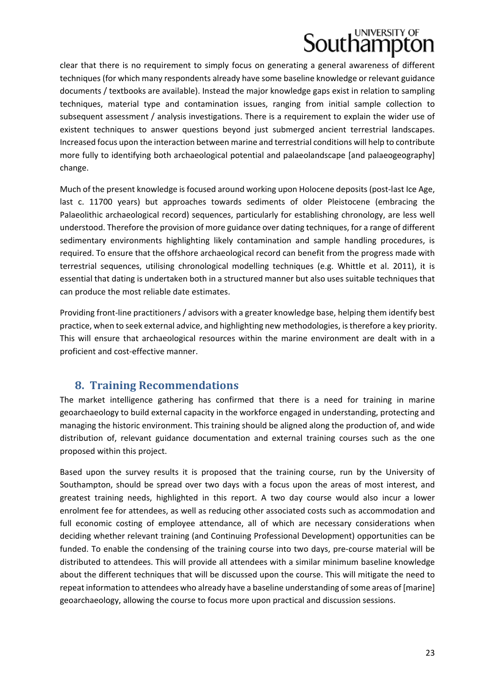clear that there is no requirement to simply focus on generating a general awareness of different techniques (for which many respondents already have some baseline knowledge or relevant guidance documents / textbooks are available). Instead the major knowledge gaps exist in relation to sampling techniques, material type and contamination issues, ranging from initial sample collection to subsequent assessment / analysis investigations. There is a requirement to explain the wider use of existent techniques to answer questions beyond just submerged ancient terrestrial landscapes. Increased focus upon the interaction between marine and terrestrial conditions will help to contribute more fully to identifying both archaeological potential and palaeolandscape [and palaeogeography] change.

Much of the present knowledge is focused around working upon Holocene deposits (post‐last Ice Age, last c. 11700 years) but approaches towards sediments of older Pleistocene (embracing the Palaeolithic archaeological record) sequences, particularly for establishing chronology, are less well understood. Therefore the provision of more guidance over dating techniques, for a range of different sedimentary environments highlighting likely contamination and sample handling procedures, is required. To ensure that the offshore archaeological record can benefit from the progress made with terrestrial sequences, utilising chronological modelling techniques (e.g. Whittle et al. 2011), it is essential that dating is undertaken both in a structured manner but also uses suitable techniques that can produce the most reliable date estimates.

Providing front‐line practitioners / advisors with a greater knowledge base, helping them identify best practice, when to seek external advice, and highlighting new methodologies, istherefore a key priority. This will ensure that archaeological resources within the marine environment are dealt with in a proficient and cost-effective manner.

### **8. Training Recommendations**

The market intelligence gathering has confirmed that there is a need for training in marine geoarchaeology to build external capacity in the workforce engaged in understanding, protecting and managing the historic environment. This training should be aligned along the production of, and wide distribution of, relevant guidance documentation and external training courses such as the one proposed within this project.

Based upon the survey results it is proposed that the training course, run by the University of Southampton, should be spread over two days with a focus upon the areas of most interest, and greatest training needs, highlighted in this report. A two day course would also incur a lower enrolment fee for attendees, as well as reducing other associated costs such as accommodation and full economic costing of employee attendance, all of which are necessary considerations when deciding whether relevant training (and Continuing Professional Development) opportunities can be funded. To enable the condensing of the training course into two days, pre-course material will be distributed to attendees. This will provide all attendees with a similar minimum baseline knowledge about the different techniques that will be discussed upon the course. This will mitigate the need to repeat information to attendees who already have a baseline understanding of some areas of [marine] geoarchaeology, allowing the course to focus more upon practical and discussion sessions.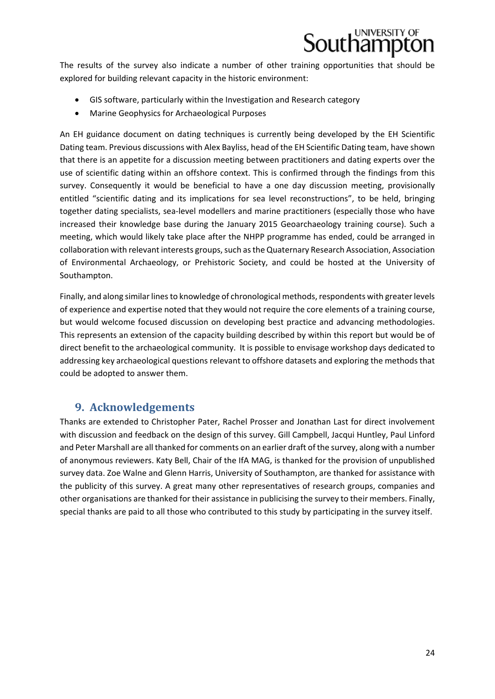

The results of the survey also indicate a number of other training opportunities that should be explored for building relevant capacity in the historic environment:

- GIS software, particularly within the Investigation and Research category
- Marine Geophysics for Archaeological Purposes

An EH guidance document on dating techniques is currently being developed by the EH Scientific Dating team. Previous discussions with Alex Bayliss, head of the EH Scientific Dating team, have shown that there is an appetite for a discussion meeting between practitioners and dating experts over the use of scientific dating within an offshore context. This is confirmed through the findings from this survey. Consequently it would be beneficial to have a one day discussion meeting, provisionally entitled "scientific dating and its implications for sea level reconstructions", to be held, bringing together dating specialists, sea‐level modellers and marine practitioners (especially those who have increased their knowledge base during the January 2015 Geoarchaeology training course). Such a meeting, which would likely take place after the NHPP programme has ended, could be arranged in collaboration with relevant interests groups, such as the Quaternary Research Association, Association of Environmental Archaeology, or Prehistoric Society, and could be hosted at the University of Southampton.

Finally, and along similar lines to knowledge of chronological methods, respondents with greater levels of experience and expertise noted that they would not require the core elements of a training course, but would welcome focused discussion on developing best practice and advancing methodologies. This represents an extension of the capacity building described by within this report but would be of direct benefit to the archaeological community. It is possible to envisage workshop days dedicated to addressing key archaeological questions relevant to offshore datasets and exploring the methods that could be adopted to answer them.

#### **9. Acknowledgements**

Thanks are extended to Christopher Pater, Rachel Prosser and Jonathan Last for direct involvement with discussion and feedback on the design of this survey. Gill Campbell, Jacqui Huntley, Paul Linford and Peter Marshall are all thanked for comments on an earlier draft of the survey, along with a number of anonymous reviewers. Katy Bell, Chair of the IfA MAG, is thanked for the provision of unpublished survey data. Zoe Walne and Glenn Harris, University of Southampton, are thanked for assistance with the publicity of this survey. A great many other representatives of research groups, companies and other organisations are thanked for their assistance in publicising the survey to their members. Finally, special thanks are paid to all those who contributed to this study by participating in the survey itself.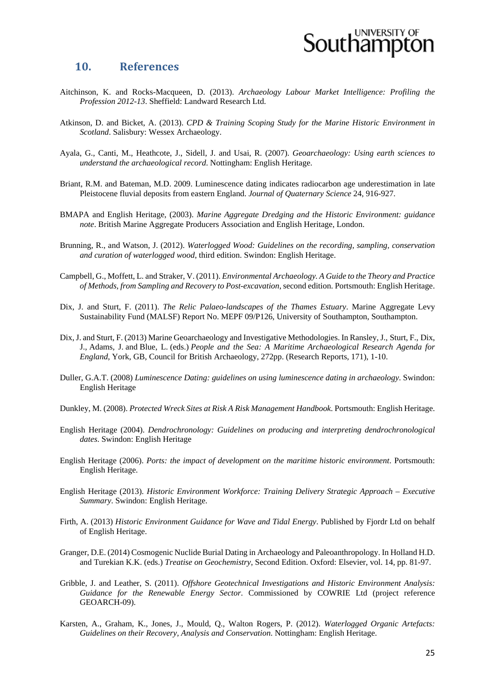

#### **10. References**

- Aitchinson, K. and Rocks-Macqueen, D. (2013). *Archaeology Labour Market Intelligence: Profiling the Profession 2012-13*. Sheffield: Landward Research Ltd.
- Atkinson, D. and Bicket, A. (2013). *CPD & Training Scoping Study for the Marine Historic Environment in Scotland*. Salisbury: Wessex Archaeology.
- Ayala, G., Canti, M., Heathcote, J., Sidell, J. and Usai, R. (2007). *Geoarchaeology: Using earth sciences to understand the archaeological record*. Nottingham: English Heritage.
- Briant, R.M. and Bateman, M.D. 2009. Luminescence dating indicates radiocarbon age underestimation in late Pleistocene fluvial deposits from eastern England. *Journal of Quaternary Science* 24, 916-927.
- BMAPA and English Heritage, (2003). *Marine Aggregate Dredging and the Historic Environment: guidance note*. British Marine Aggregate Producers Association and English Heritage, London.
- Brunning, R., and Watson, J. (2012). *Waterlogged Wood: Guidelines on the recording, sampling, conservation and curation of waterlogged wood*, third edition. Swindon: English Heritage.
- Campbell, G., Moffett, L. and Straker, V. (2011). *Environmental Archaeology. A Guide to the Theory and Practice of Methods, from Sampling and Recovery to Post-excavation*, second edition. Portsmouth: English Heritage.
- Dix, J. and Sturt, F. (2011). *The Relic Palaeo-landscapes of the Thames Estuary*. Marine Aggregate Levy Sustainability Fund (MALSF) Report No. MEPF 09/P126, University of Southampton, Southampton.
- Dix, J. and Sturt, F. (2013) Marine Geoarchaeology and Investigative Methodologies. In Ransley, J., Sturt, F., Dix, J., Adams, J. and Blue, L. (eds.) *People and the Sea: A Maritime Archaeological Research Agenda for England*, York, GB, Council for British Archaeology, 272pp. (Research Reports, 171), 1-10.
- Duller, G.A.T. (2008) *Luminescence Dating: guidelines on using luminescence dating in archaeology*. Swindon: English Heritage
- Dunkley, M. (2008). *Protected Wreck Sites at Risk A Risk Management Handbook*. Portsmouth: English Heritage.
- English Heritage (2004). *Dendrochronology: Guidelines on producing and interpreting dendrochronological dates*. Swindon: English Heritage
- English Heritage (2006). *Ports: the impact of development on the maritime historic environment*. Portsmouth: English Heritage.
- English Heritage (2013). *Historic Environment Workforce: Training Delivery Strategic Approach Executive Summary*. Swindon: English Heritage.
- Firth, A. (2013) *Historic Environment Guidance for Wave and Tidal Energy*. Published by Fjordr Ltd on behalf of English Heritage.
- Granger, D.E. (2014) Cosmogenic Nuclide Burial Dating in Archaeology and Paleoanthropology. In Holland H.D. and Turekian K.K. (eds.) *Treatise on Geochemistry*, Second Edition. Oxford: Elsevier, vol. 14, pp. 81-97.
- Gribble, J. and Leather, S. (2011). *Offshore Geotechnical Investigations and Historic Environment Analysis: Guidance for the Renewable Energy Sector*. Commissioned by COWRIE Ltd (project reference GEOARCH-09).
- Karsten, A., Graham, K., Jones, J., Mould, Q., Walton Rogers, P. (2012). *Waterlogged Organic Artefacts: Guidelines on their Recovery, Analysis and Conservation*. Nottingham: English Heritage.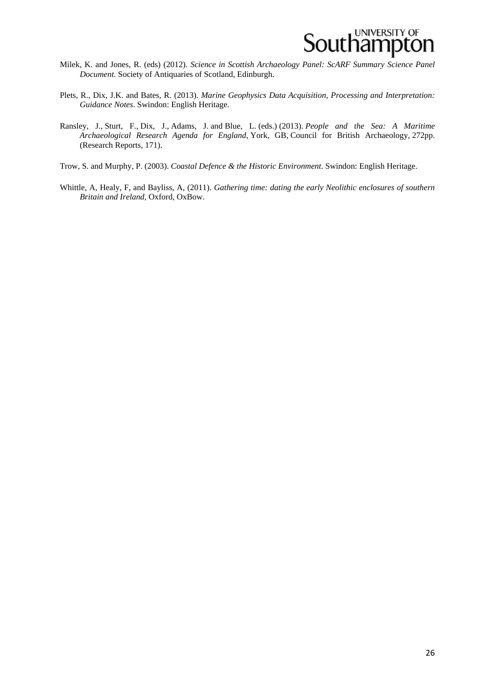

- Milek, K. and Jones, R. (eds) (2012). *Science in Scottish Archaeology Panel: ScARF Summary Science Panel Document.* Society of Antiquaries of Scotland, Edinburgh.
- Plets, R., Dix, J.K. and Bates, R. (2013). *Marine Geophysics Data Acquisition, Processing and Interpretation: Guidance Notes*. Swindon: English Heritage.
- Ransley, J., Sturt, F., Dix, J., Adams, J. and Blue, L. (eds.) (2013). *People and the Sea: A Maritime Archaeological Research Agenda for England*, York, GB, Council for British Archaeology, 272pp. (Research Reports, 171).
- Trow, S. and Murphy, P. (2003). *Coastal Defence & the Historic Environment*. Swindon: English Heritage.
- Whittle, A, Healy, F, and Bayliss, A, (2011). *Gathering time: dating the early Neolithic enclosures of southern Britain and Ireland*, Oxford, OxBow.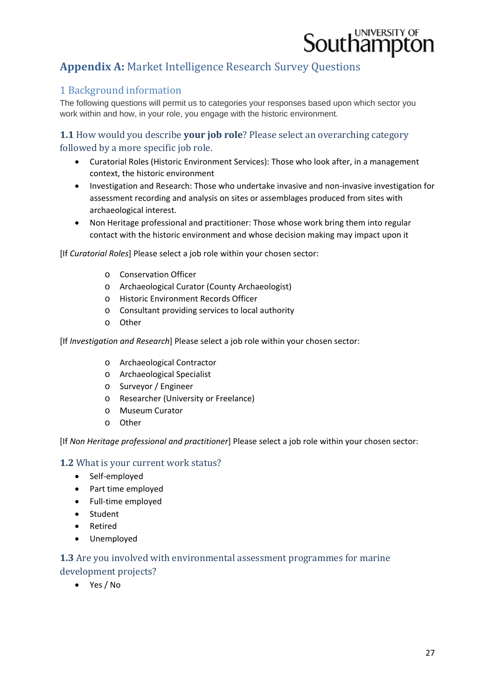

### **Appendix A: Market Intelligence Research Survey Questions**

#### 1 Background information

The following questions will permit us to categories your responses based upon which sector you work within and how, in your role, you engage with the historic environment.

**1.1** How would you describe **your job role**? Please select an overarching category followed by a more specific job role.

- Curatorial Roles (Historic Environment Services): Those who look after, in a management context, the historic environment
- Investigation and Research: Those who undertake invasive and non‐invasive investigation for assessment recording and analysis on sites or assemblages produced from sites with archaeological interest.
- Non Heritage professional and practitioner: Those whose work bring them into regular contact with the historic environment and whose decision making may impact upon it

[If *Curatorial Roles*] Please select a job role within your chosen sector:

- o Conservation Officer
- o Archaeological Curator (County Archaeologist)
- o Historic Environment Records Officer
- o Consultant providing services to local authority
- o Other

[If *Investigation and Research*] Please select a job role within your chosen sector:

- o Archaeological Contractor
- o Archaeological Specialist
- o Surveyor / Engineer
- o Researcher (University or Freelance)
- o Museum Curator
- o Other

[If *Non Heritage professional and practitioner*] Please select a job role within your chosen sector:

#### **1.2** What is your current work status?

- Self-employed
- Part time employed
- Full-time employed
- **•** Student
- Retired
- Unemployed

#### **1.3** Are you involved with environmental assessment programmes for marine development projects?

Yes / No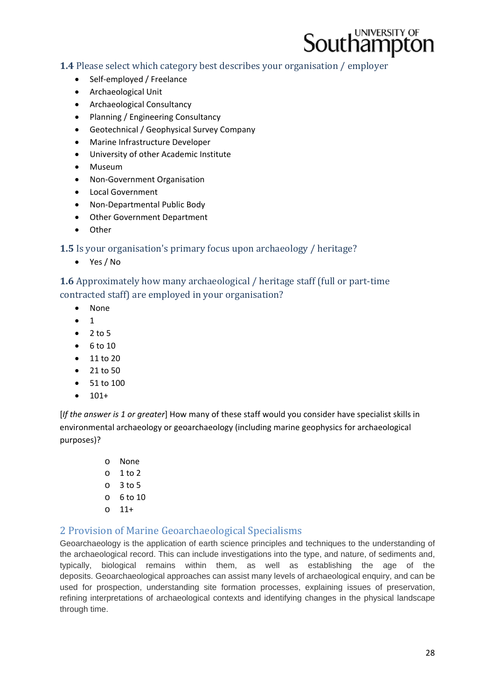

**1.4** Please select which category best describes your organisation / employer

- Self-employed / Freelance
- Archaeological Unit
- Archaeological Consultancy
- Planning / Engineering Consultancy
- Geotechnical / Geophysical Survey Company
- Marine Infrastructure Developer
- University of other Academic Institute
- Museum
- Non-Government Organisation
- Local Government
- Non-Departmental Public Body
- Other Government Department
- Other

**1.5** Is your organisation's primary focus upon archaeology / heritage?

Yes / No

**1.6** Approximately how many archaeological / heritage staff (full or part-time contracted staff) are employed in your organisation?

- None
- $\bullet$  1
- $2 to 5$
- $6 to 10$
- $11 to 20$
- $21 to 50$
- 51 to 100
- $101+$

[*If the answer is 1 or greater*] How many of these staff would you consider have specialist skills in environmental archaeology or geoarchaeology (including marine geophysics for archaeological purposes)?

> o None  $o$  1 to 2 o 3 to 5 o 6 to 10  $0 \t11+$

#### 2 Provision of Marine Geoarchaeological Specialisms

Geoarchaeology is the application of earth science principles and techniques to the understanding of the archaeological record. This can include investigations into the type, and nature, of sediments and, typically, biological remains within them, as well as establishing the age of the deposits. Geoarchaeological approaches can assist many levels of archaeological enquiry, and can be used for prospection, understanding site formation processes, explaining issues of preservation, refining interpretations of archaeological contexts and identifying changes in the physical landscape through time.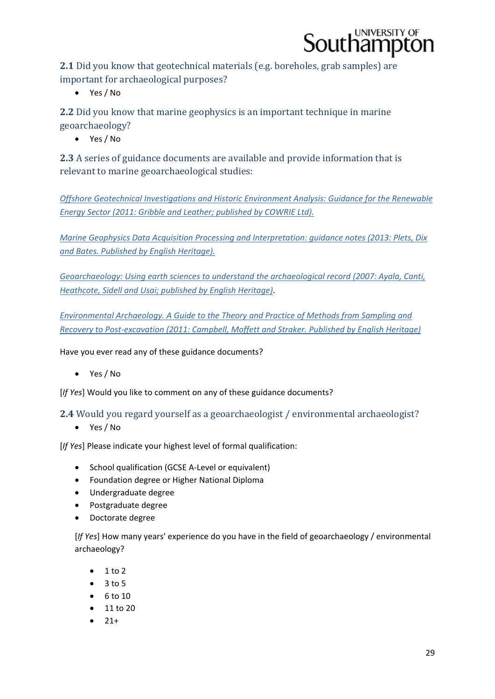

**2.1** Did you know that geotechnical materials (e.g. boreholes, grab samples) are important for archaeological purposes?

Yes / No

**2.2** Did you know that marine geophysics is an important technique in marine geoarchaeology? 

Yes / No

**2.3** A series of guidance documents are available and provide information that is relevant to marine geoarchaeological studies:

*Offshore Geotechnical Investigations and Historic Environment Analysis: Guidance for the Renewable Energy Sector (2011: Gribble and Leather; published by COWRIE Ltd).*

*Marine Geophysics Data Acquisition Processing and Interpretation: guidance notes (2013: Plets, Dix and Bates. Published by English Heritage).*

*Geoarchaeology: Using earth sciences to understand the archaeological record (2007: Ayala, Canti, Heathcote, Sidell and Usai; published by English Heritage)*.

*Environmental Archaeology. A Guide to the Theory and Practice of Methods from Sampling and Recovery to Post‐excavation (2011: Campbell, Moffett and Straker. Published by English Heritage)*

Have you ever read any of these guidance documents?

Yes / No

[*If Yes*] Would you like to comment on any of these guidance documents?

**2.4** Would you regard vourself as a geoarchaeologist / environmental archaeologist?

Yes / No

[*If Yes*] Please indicate your highest level of formal qualification:

- School qualification (GCSE A-Level or equivalent)
- Foundation degree or Higher National Diploma
- Undergraduate degree
- Postgraduate degree
- Doctorate degree

[*If Yes*] How many years' experience do you have in the field of geoarchaeology / environmental archaeology?

- $\bullet$  1 to 2
- $3 to 5$
- $\bullet$  6 to 10
- 11 to 20
- 21+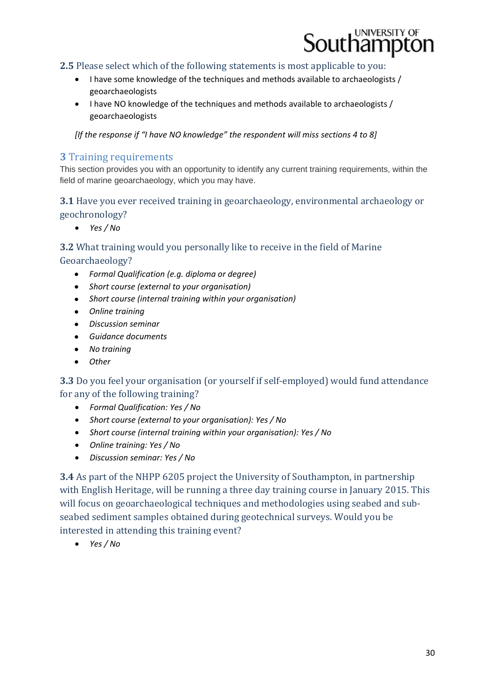

#### **2.5** Please select which of the following statements is most applicable to you:

- I have some knowledge of the techniques and methods available to archaeologists / geoarchaeologists
- I have NO knowledge of the techniques and methods available to archaeologists / geoarchaeologists

*[If the response if "I have NO knowledge" the respondent will miss sections 4 to 8]*

#### **3** Training requirements

This section provides you with an opportunity to identify any current training requirements, within the field of marine geoarchaeology, which you may have.

#### **3.1** Have you ever received training in geoarchaeology, environmental archaeology or geochronology?

*Yes / No*

#### **3.2** What training would you personally like to receive in the field of Marine Geoarchaeology?

- *Formal Qualification (e.g. diploma or degree)*
- *Short course (external to your organisation)*
- *Short course (internal training within your organisation)*
- *Online training*
- *Discussion seminar*
- *Guidance documents*
- *No training*
- *Other*

**3.3** Do you feel your organisation (or yourself if self-employed) would fund attendance for any of the following training?

- *Formal Qualification: Yes / No*
- *Short course (external to your organisation): Yes / No*
- *Short course (internal training within your organisation): Yes / No*
- *Online training: Yes / No*
- *Discussion seminar: Yes / No*

**3.4** As part of the NHPP 6205 project the University of Southampton, in partnership with English Heritage, will be running a three day training course in January 2015. This will focus on geoarchaeological techniques and methodologies using seabed and subseabed sediment samples obtained during geotechnical surveys. Would you be interested in attending this training event?

*Yes / No*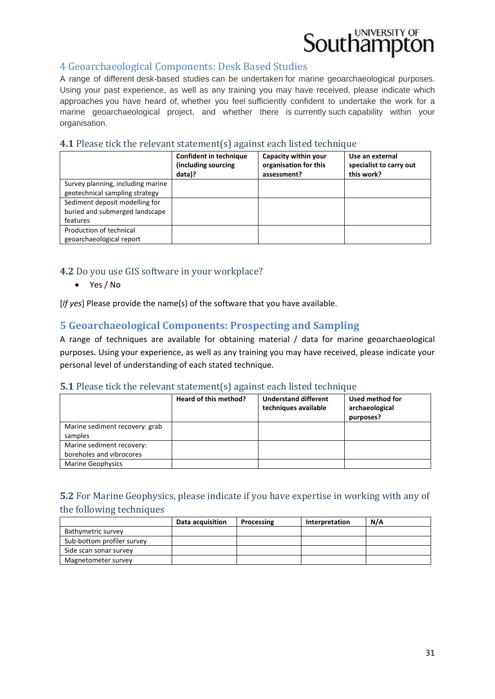#### 4 Geoarchaeological Components: Desk Based Studies

A range of different desk-based studies can be undertaken for marine geoarchaeological purposes. Using your past experience, as well as any training you may have received, please indicate which approaches you have heard of, whether you feel sufficiently confident to undertake the work for a marine geoarchaeological project, and whether there is currently such capability within your organisation.

#### **4.1** Please tick the relevant statement(s) against each listed technique

|                                                                              | <b>Confident in technique</b><br>(including sourcing<br>data)? | Capacity within your<br>organisation for this<br>assessment? | Use an external<br>specialist to carry out<br>this work? |
|------------------------------------------------------------------------------|----------------------------------------------------------------|--------------------------------------------------------------|----------------------------------------------------------|
| Survey planning, including marine<br>geotechnical sampling strategy          |                                                                |                                                              |                                                          |
| Sediment deposit modelling for<br>buried and submerged landscape<br>features |                                                                |                                                              |                                                          |
| Production of technical<br>geoarchaeological report                          |                                                                |                                                              |                                                          |

#### **4.2** Do you use GIS software in your workplace?

Yes / No

[*If yes*] Please provide the name(s) of the software that you have available.

#### **5 Geoarchaeological Components: Prospecting and Sampling**

A range of techniques are available for obtaining material / data for marine geoarchaeological purposes. Using your experience, as well as any training you may have received, please indicate your personal level of understanding of each stated technique.

#### **5.1** Please tick the relevant statement(s) against each listed technique

|                                                       | Heard of this method? | <b>Understand different</b><br>techniques available | Used method for<br>archaeological<br>purposes? |
|-------------------------------------------------------|-----------------------|-----------------------------------------------------|------------------------------------------------|
| Marine sediment recovery: grab<br>samples             |                       |                                                     |                                                |
| Marine sediment recovery:<br>boreholes and vibrocores |                       |                                                     |                                                |
| Marine Geophysics                                     |                       |                                                     |                                                |

#### **5.2** For Marine Geophysics, please indicate if you have expertise in working with any of the following techniques

|                            | Data acquisition | Processing | Interpretation | N/A |
|----------------------------|------------------|------------|----------------|-----|
| Bathymetric survey         |                  |            |                |     |
| Sub-bottom profiler survey |                  |            |                |     |
| Side scan sonar survey     |                  |            |                |     |
| Magnetometer survey        |                  |            |                |     |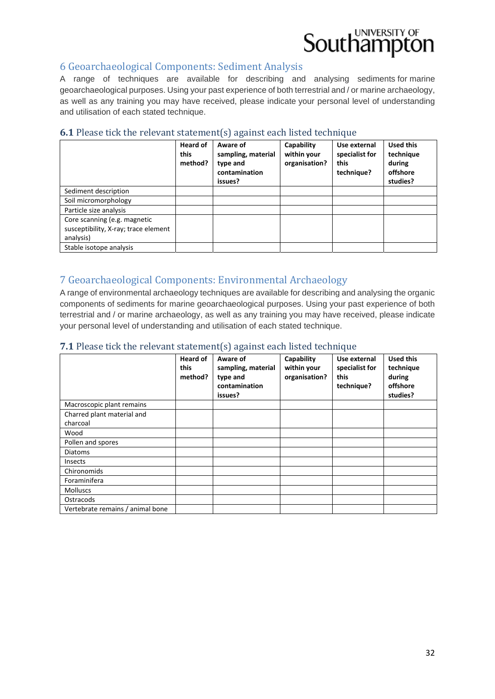#### 6 Geoarchaeological Components: Sediment Analysis

A range of techniques are available for describing and analysing sediments for marine geoarchaeological purposes. Using your past experience of both terrestrial and / or marine archaeology, as well as any training you may have received, please indicate your personal level of understanding and utilisation of each stated technique.

#### **Heard of this method? Aware of sampling, material type and contamination issues? Capability within your organisation? Use external specialist for this technique? Used this technique during offshore studies?** Sediment description Soil micromorphology Particle size analysis Core scanning (e.g. magnetic susceptibility, X‐ray; trace element analysis) Stable isotope analysis

#### **6.1** Please tick the relevant statement(s) against each listed technique

#### 7 Geoarchaeological Components: Environmental Archaeology

A range of environmental archaeology techniques are available for describing and analysing the organic components of sediments for marine geoarchaeological purposes. Using your past experience of both terrestrial and / or marine archaeology, as well as any training you may have received, please indicate your personal level of understanding and utilisation of each stated technique.

#### **7.1** Please tick the relevant statement(s) against each listed technique

|                                        | <b>Heard of</b><br>this<br>method? | Aware of<br>sampling, material<br>type and<br>contamination<br>issues? | Capability<br>within your<br>organisation? | Use external<br>specialist for<br>this<br>technique? | <b>Used this</b><br>technique<br>during<br>offshore<br>studies? |
|----------------------------------------|------------------------------------|------------------------------------------------------------------------|--------------------------------------------|------------------------------------------------------|-----------------------------------------------------------------|
| Macroscopic plant remains              |                                    |                                                                        |                                            |                                                      |                                                                 |
| Charred plant material and<br>charcoal |                                    |                                                                        |                                            |                                                      |                                                                 |
| Wood                                   |                                    |                                                                        |                                            |                                                      |                                                                 |
| Pollen and spores                      |                                    |                                                                        |                                            |                                                      |                                                                 |
| <b>Diatoms</b>                         |                                    |                                                                        |                                            |                                                      |                                                                 |
| <b>Insects</b>                         |                                    |                                                                        |                                            |                                                      |                                                                 |
| Chironomids                            |                                    |                                                                        |                                            |                                                      |                                                                 |
| Foraminifera                           |                                    |                                                                        |                                            |                                                      |                                                                 |
| <b>Molluscs</b>                        |                                    |                                                                        |                                            |                                                      |                                                                 |
| Ostracods                              |                                    |                                                                        |                                            |                                                      |                                                                 |
| Vertebrate remains / animal bone       |                                    |                                                                        |                                            |                                                      |                                                                 |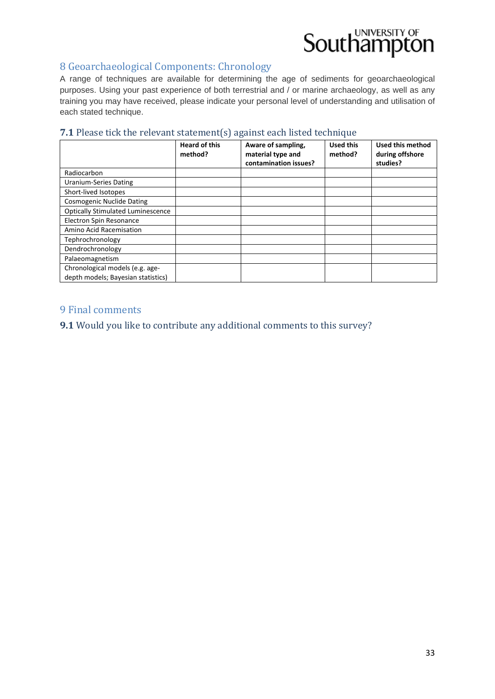#### 8 Geoarchaeological Components: Chronology

A range of techniques are available for determining the age of sediments for geoarchaeological purposes. Using your past experience of both terrestrial and / or marine archaeology, as well as any training you may have received, please indicate your personal level of understanding and utilisation of each stated technique.

#### **7.1** Please tick the relevant statement(s) against each listed technique

|                                                                       | <b>Heard of this</b><br>method? | Aware of sampling,<br>material type and<br>contamination issues? | <b>Used this</b><br>method? | <b>Used this method</b><br>during offshore<br>studies? |
|-----------------------------------------------------------------------|---------------------------------|------------------------------------------------------------------|-----------------------------|--------------------------------------------------------|
| Radiocarbon                                                           |                                 |                                                                  |                             |                                                        |
| <b>Uranium-Series Dating</b>                                          |                                 |                                                                  |                             |                                                        |
| Short-lived Isotopes                                                  |                                 |                                                                  |                             |                                                        |
| <b>Cosmogenic Nuclide Dating</b>                                      |                                 |                                                                  |                             |                                                        |
| <b>Optically Stimulated Luminescence</b>                              |                                 |                                                                  |                             |                                                        |
| Electron Spin Resonance                                               |                                 |                                                                  |                             |                                                        |
| Amino Acid Racemisation                                               |                                 |                                                                  |                             |                                                        |
| Tephrochronology                                                      |                                 |                                                                  |                             |                                                        |
| Dendrochronology                                                      |                                 |                                                                  |                             |                                                        |
| Palaeomagnetism                                                       |                                 |                                                                  |                             |                                                        |
| Chronological models (e.g. age-<br>depth models; Bayesian statistics) |                                 |                                                                  |                             |                                                        |

#### 9 Final comments

**9.1** Would you like to contribute any additional comments to this survey?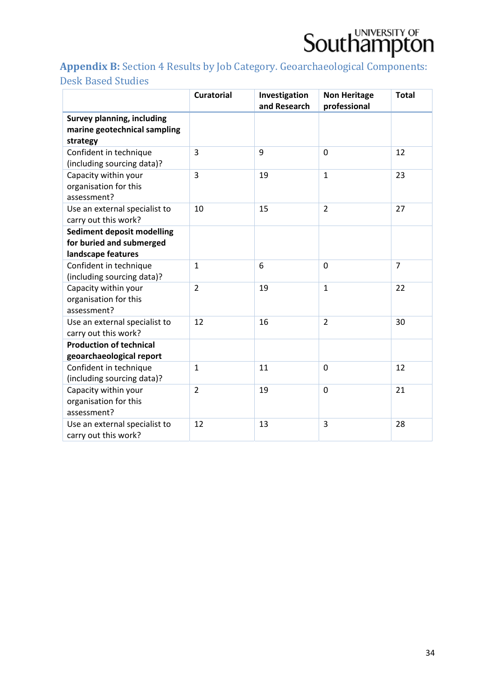

## Appendix B: Section 4 Results by Job Category. Geoarchaeological Components:

### Desk Based Studies

|                                                                                     | <b>Curatorial</b> | Investigation<br>and Research | <b>Non Heritage</b><br>professional | <b>Total</b>   |
|-------------------------------------------------------------------------------------|-------------------|-------------------------------|-------------------------------------|----------------|
| <b>Survey planning, including</b><br>marine geotechnical sampling<br>strategy       |                   |                               |                                     |                |
| Confident in technique<br>(including sourcing data)?                                | 3                 | 9                             | $\mathbf 0$                         | 12             |
| Capacity within your<br>organisation for this<br>assessment?                        | 3                 | 19                            | $\mathbf{1}$                        | 23             |
| Use an external specialist to<br>carry out this work?                               | 10                | 15                            | $\overline{2}$                      | 27             |
| <b>Sediment deposit modelling</b><br>for buried and submerged<br>landscape features |                   |                               |                                     |                |
| Confident in technique<br>(including sourcing data)?                                | $\mathbf{1}$      | 6                             | $\mathbf 0$                         | $\overline{7}$ |
| Capacity within your<br>organisation for this<br>assessment?                        | $\overline{2}$    | 19                            | $\mathbf{1}$                        | 22             |
| Use an external specialist to<br>carry out this work?                               | 12                | 16                            | $\overline{2}$                      | 30             |
| <b>Production of technical</b><br>geoarchaeological report                          |                   |                               |                                     |                |
| Confident in technique<br>(including sourcing data)?                                | $\mathbf{1}$      | 11                            | $\overline{0}$                      | 12             |
| Capacity within your<br>organisation for this<br>assessment?                        | $\overline{2}$    | 19                            | $\overline{0}$                      | 21             |
| Use an external specialist to<br>carry out this work?                               | 12                | 13                            | 3                                   | 28             |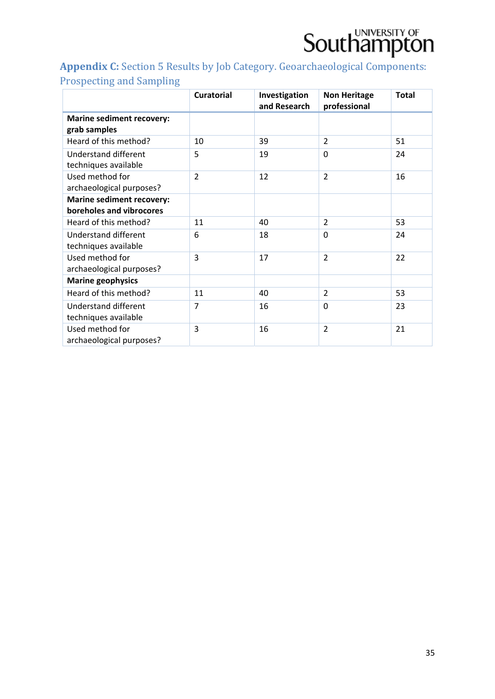

### Appendix C: Section 5 Results by Job Category. Geoarchaeological Components: Prospecting and Sampling

|                                                              | <b>Curatorial</b> | Investigation<br>and Research | <b>Non Heritage</b><br>professional | <b>Total</b> |
|--------------------------------------------------------------|-------------------|-------------------------------|-------------------------------------|--------------|
| <b>Marine sediment recovery:</b><br>grab samples             |                   |                               |                                     |              |
| Heard of this method?                                        | 10                | 39                            | $\overline{2}$                      | 51           |
| <b>Understand different</b><br>techniques available          | 5                 | 19                            | $\Omega$                            | 24           |
| Used method for<br>archaeological purposes?                  | $\overline{2}$    | 12                            | $\overline{2}$                      | 16           |
| <b>Marine sediment recovery:</b><br>boreholes and vibrocores |                   |                               |                                     |              |
| Heard of this method?                                        | 11                | 40                            | $\overline{2}$                      | 53           |
| <b>Understand different</b><br>techniques available          | 6                 | 18                            | $\Omega$                            | 24           |
| Used method for<br>archaeological purposes?                  | 3                 | 17                            | $\overline{2}$                      | 22           |
| <b>Marine geophysics</b>                                     |                   |                               |                                     |              |
| Heard of this method?                                        | 11                | 40                            | $\overline{2}$                      | 53           |
| <b>Understand different</b><br>techniques available          | 7                 | 16                            | 0                                   | 23           |
| Used method for<br>archaeological purposes?                  | 3                 | 16                            | $\overline{2}$                      | 21           |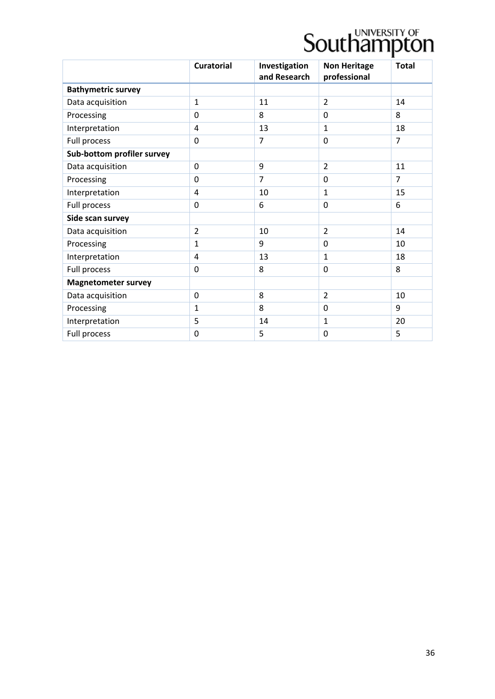|                            | <b>Curatorial</b> | Investigation<br>and Research | <b>Non Heritage</b><br>professional | <b>Total</b>   |
|----------------------------|-------------------|-------------------------------|-------------------------------------|----------------|
| <b>Bathymetric survey</b>  |                   |                               |                                     |                |
| Data acquisition           | $\mathbf{1}$      | 11                            | $\overline{2}$                      | 14             |
| Processing                 | $\Omega$          | 8                             | $\Omega$                            | 8              |
| Interpretation             | $\overline{4}$    | 13                            | $\mathbf{1}$                        | 18             |
| Full process               | $\mathbf 0$       | $\overline{7}$                | $\mathbf 0$                         | $\overline{7}$ |
| Sub-bottom profiler survey |                   |                               |                                     |                |
| Data acquisition           | $\mathbf 0$       | 9                             | $\overline{2}$                      | 11             |
| Processing                 | $\mathbf 0$       | $\overline{7}$                | $\mathbf 0$                         | $\overline{7}$ |
| Interpretation             | $\overline{4}$    | 10                            | $\mathbf{1}$                        | 15             |
| Full process               | $\mathbf 0$       | 6                             | $\mathbf 0$                         | 6              |
| Side scan survey           |                   |                               |                                     |                |
| Data acquisition           | $\overline{2}$    | 10                            | $\overline{2}$                      | 14             |
| Processing                 | $\mathbf{1}$      | 9                             | $\Omega$                            | 10             |
| Interpretation             | $\overline{a}$    | 13                            | $\mathbf{1}$                        | 18             |
| Full process               | $\mathbf 0$       | 8                             | $\mathbf 0$                         | 8              |
| <b>Magnetometer survey</b> |                   |                               |                                     |                |
| Data acquisition           | $\overline{0}$    | 8                             | $\overline{2}$                      | 10             |
| Processing                 | $\mathbf{1}$      | 8                             | $\mathbf 0$                         | 9              |
| Interpretation             | 5                 | 14                            | $\mathbf{1}$                        | 20             |
| Full process               | 0                 | 5                             | 0                                   | 5              |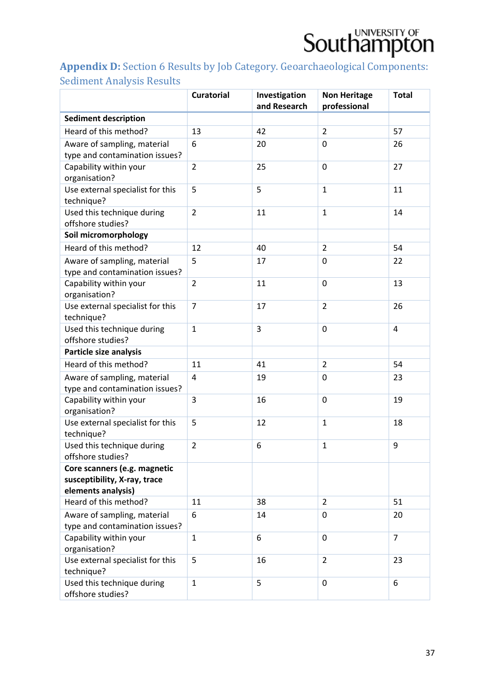### Appendix D: Section 6 Results by Job Category. Geoarchaeological Components: Sediment Analysis Results

|                                                      | <b>Curatorial</b> | Investigation<br>and Research | <b>Non Heritage</b> | <b>Total</b>   |
|------------------------------------------------------|-------------------|-------------------------------|---------------------|----------------|
|                                                      |                   |                               | professional        |                |
| <b>Sediment description</b><br>Heard of this method? |                   |                               | $\overline{2}$      |                |
|                                                      | 13                | 42                            |                     | 57             |
| Aware of sampling, material                          | 6                 | 20                            | 0                   | 26             |
| type and contamination issues?                       | $\overline{2}$    | 25                            | 0                   | 27             |
| Capability within your<br>organisation?              |                   |                               |                     |                |
| Use external specialist for this                     | 5                 | 5                             | $\mathbf{1}$        | 11             |
| technique?                                           |                   |                               |                     |                |
| Used this technique during                           | $\overline{2}$    | 11                            | $\mathbf{1}$        | 14             |
| offshore studies?                                    |                   |                               |                     |                |
| Soil micromorphology                                 |                   |                               |                     |                |
| Heard of this method?                                | 12                | 40                            | $\overline{2}$      | 54             |
| Aware of sampling, material                          | 5                 | 17                            | 0                   | 22             |
| type and contamination issues?                       |                   |                               |                     |                |
| Capability within your                               | $\overline{2}$    | 11                            | 0                   | 13             |
| organisation?                                        |                   |                               |                     |                |
| Use external specialist for this                     | $\overline{7}$    | 17                            | $\overline{2}$      | 26             |
| technique?                                           |                   |                               |                     |                |
| Used this technique during                           | $\mathbf{1}$      | 3                             | 0                   | $\overline{4}$ |
| offshore studies?                                    |                   |                               |                     |                |
| Particle size analysis                               |                   |                               |                     |                |
| Heard of this method?                                | 11                | 41                            | $\overline{2}$      | 54             |
| Aware of sampling, material                          | 4                 | 19                            | 0                   | 23             |
| type and contamination issues?                       |                   |                               |                     |                |
| Capability within your                               | 3                 | 16                            | 0                   | 19             |
| organisation?                                        |                   |                               |                     |                |
| Use external specialist for this                     | 5                 | 12                            | $\mathbf{1}$        | 18             |
| technique?<br>Used this technique during             | $\overline{2}$    | 6                             | $\mathbf{1}$        | 9              |
| offshore studies?                                    |                   |                               |                     |                |
| Core scanners (e.g. magnetic                         |                   |                               |                     |                |
| susceptibility, X-ray, trace                         |                   |                               |                     |                |
| elements analysis)                                   |                   |                               |                     |                |
| Heard of this method?                                | 11                | 38                            | $\overline{2}$      | 51             |
| Aware of sampling, material                          | 6                 | 14                            | 0                   | 20             |
| type and contamination issues?                       |                   |                               |                     |                |
| Capability within your                               | $\mathbf{1}$      | 6                             | 0                   | $\overline{7}$ |
| organisation?                                        |                   |                               |                     |                |
| Use external specialist for this                     | 5                 | 16                            | $\overline{2}$      | 23             |
| technique?                                           |                   |                               |                     |                |
| Used this technique during                           | $\mathbf{1}$      | 5                             | 0                   | 6              |
| offshore studies?                                    |                   |                               |                     |                |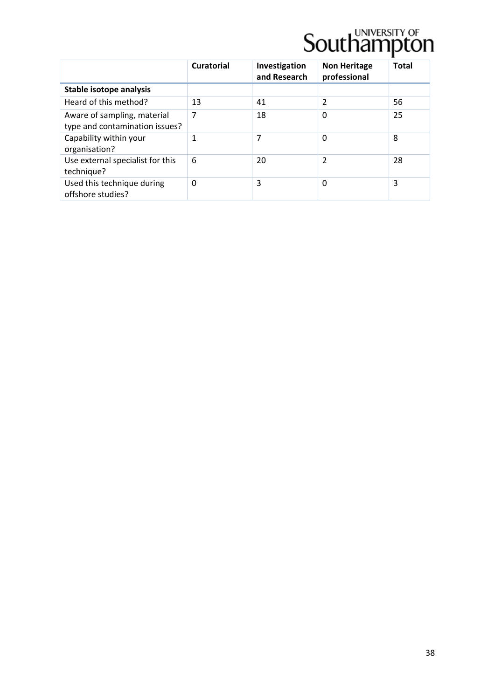|                                                               | <b>Curatorial</b> | Investigation<br>and Research | <b>Non Heritage</b><br>professional | <b>Total</b> |
|---------------------------------------------------------------|-------------------|-------------------------------|-------------------------------------|--------------|
| Stable isotope analysis                                       |                   |                               |                                     |              |
| Heard of this method?                                         | 13                | 41                            | $\overline{2}$                      | 56           |
| Aware of sampling, material<br>type and contamination issues? | 7                 | 18                            | 0                                   | 25           |
| Capability within your<br>organisation?                       | 1                 | 7                             | 0                                   | 8            |
| Use external specialist for this<br>technique?                | 6                 | 20                            | 2                                   | 28           |
| Used this technique during<br>offshore studies?               | 0                 | 3                             | 0                                   | 3            |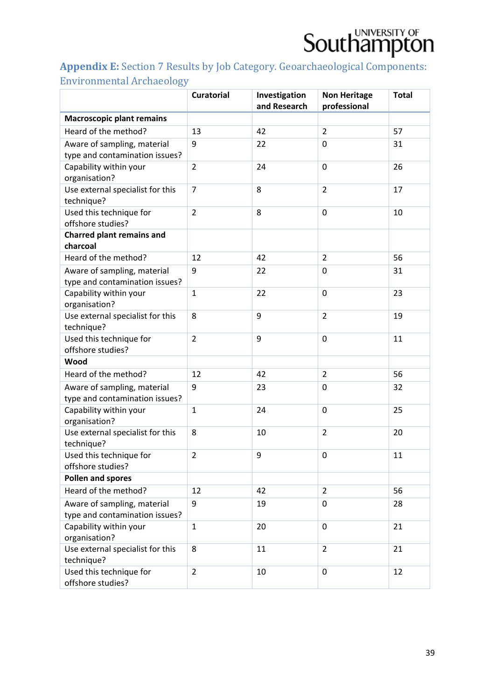

### Appendix E: Section 7 Results by Job Category. Geoarchaeological Components: Environmental Archaeology

|                                                          | <b>Curatorial</b> | Investigation<br>and Research | <b>Non Heritage</b><br>professional | <b>Total</b> |
|----------------------------------------------------------|-------------------|-------------------------------|-------------------------------------|--------------|
| <b>Macroscopic plant remains</b>                         |                   |                               |                                     |              |
| Heard of the method?                                     | 13                | 42                            | $\overline{2}$                      | 57           |
| Aware of sampling, material                              | 9                 | 22                            | 0                                   | 31           |
| type and contamination issues?                           |                   |                               |                                     |              |
| Capability within your                                   | $\overline{2}$    | 24                            | $\mathbf 0$                         | 26           |
| organisation?                                            |                   |                               |                                     |              |
| Use external specialist for this                         | $\overline{7}$    | 8                             | $\overline{2}$                      | 17           |
| technique?                                               |                   |                               |                                     |              |
| Used this technique for                                  | $\overline{2}$    | 8                             | $\mathbf 0$                         | 10           |
| offshore studies?                                        |                   |                               |                                     |              |
| <b>Charred plant remains and</b>                         |                   |                               |                                     |              |
| charcoal<br>Heard of the method?                         | 12                |                               | $\overline{2}$                      | 56           |
|                                                          |                   | 42                            |                                     |              |
| Aware of sampling, material                              | 9                 | 22                            | $\Omega$                            | 31           |
| type and contamination issues?<br>Capability within your | $\mathbf{1}$      | 22                            | 0                                   | 23           |
| organisation?                                            |                   |                               |                                     |              |
| Use external specialist for this                         | 8                 | 9                             | $\overline{2}$                      | 19           |
| technique?                                               |                   |                               |                                     |              |
| Used this technique for                                  | $\overline{2}$    | 9                             | 0                                   | 11           |
| offshore studies?                                        |                   |                               |                                     |              |
| Wood                                                     |                   |                               |                                     |              |
| Heard of the method?                                     | 12                | 42                            | $\overline{2}$                      | 56           |
| Aware of sampling, material                              | 9                 | 23                            | 0                                   | 32           |
| type and contamination issues?                           |                   |                               |                                     |              |
| Capability within your                                   | $\mathbf{1}$      | 24                            | $\Omega$                            | 25           |
| organisation?                                            |                   |                               |                                     |              |
| Use external specialist for this                         | 8                 | 10                            | $\overline{2}$                      | 20           |
| technique?                                               |                   |                               |                                     |              |
| Used this technique for                                  | $\overline{2}$    | 9                             | $\mathbf 0$                         | 11           |
| offshore studies?                                        |                   |                               |                                     |              |
| Pollen and spores                                        |                   |                               |                                     |              |
| Heard of the method?                                     | 12                | 42                            | $\overline{2}$                      | 56           |
| Aware of sampling, material                              | 9                 | 19                            | 0                                   | 28           |
| type and contamination issues?                           |                   |                               |                                     |              |
| Capability within your                                   | $\mathbf{1}$      | 20                            | $\Omega$                            | 21           |
| organisation?                                            | 8                 |                               | $\overline{2}$                      |              |
| Use external specialist for this<br>technique?           |                   | 11                            |                                     | 21           |
| Used this technique for                                  | $\overline{2}$    | 10                            | 0                                   | 12           |
| offshore studies?                                        |                   |                               |                                     |              |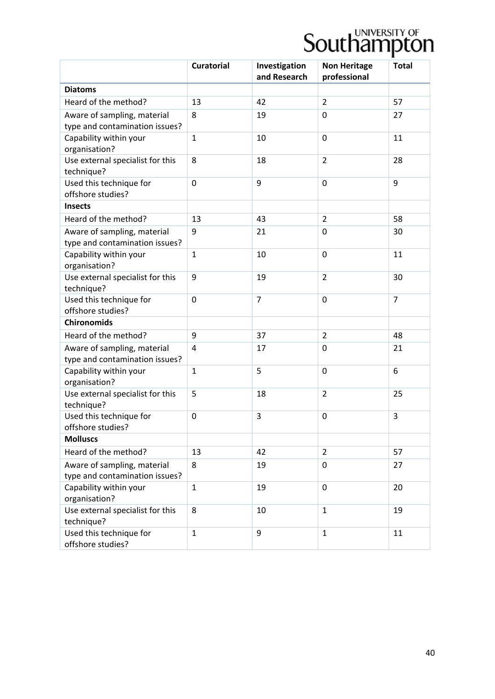|                                                               | <b>Curatorial</b> | Investigation<br>and Research | <b>Non Heritage</b><br>professional | <b>Total</b>   |
|---------------------------------------------------------------|-------------------|-------------------------------|-------------------------------------|----------------|
| <b>Diatoms</b>                                                |                   |                               |                                     |                |
| Heard of the method?                                          | 13                | 42                            | $\overline{2}$                      | 57             |
| Aware of sampling, material                                   | 8                 | 19                            | $\Omega$                            | 27             |
| type and contamination issues?                                |                   |                               |                                     |                |
| Capability within your<br>organisation?                       | $\mathbf{1}$      | 10                            | 0                                   | 11             |
| Use external specialist for this<br>technique?                | 8                 | 18                            | $\overline{2}$                      | 28             |
| Used this technique for<br>offshore studies?                  | $\mathbf 0$       | 9                             | 0                                   | 9              |
| <b>Insects</b>                                                |                   |                               |                                     |                |
| Heard of the method?                                          | 13                | 43                            | $\overline{2}$                      | 58             |
| Aware of sampling, material<br>type and contamination issues? | 9                 | 21                            | 0                                   | 30             |
| Capability within your<br>organisation?                       | $\mathbf{1}$      | 10                            | 0                                   | 11             |
| Use external specialist for this<br>technique?                | 9                 | 19                            | $\overline{2}$                      | 30             |
| Used this technique for<br>offshore studies?                  | $\overline{0}$    | $\overline{7}$                | 0                                   | $\overline{7}$ |
| <b>Chironomids</b>                                            |                   |                               |                                     |                |
| Heard of the method?                                          | 9                 | 37                            | $\overline{2}$                      | 48             |
| Aware of sampling, material<br>type and contamination issues? | 4                 | 17                            | 0                                   | 21             |
| Capability within your<br>organisation?                       | $\mathbf{1}$      | 5                             | 0                                   | 6              |
| Use external specialist for this<br>technique?                | 5                 | 18                            | $\overline{2}$                      | 25             |
| Used this technique for<br>offshore studies?                  | 0                 | 3                             | 0                                   | 3              |
| <b>Molluscs</b>                                               |                   |                               |                                     |                |
| Heard of the method?                                          | 13                | 42                            | $\overline{2}$                      | 57             |
| Aware of sampling, material                                   | 8                 | 19                            | 0                                   | 27             |
| type and contamination issues?                                |                   |                               |                                     |                |
| Capability within your                                        | $\mathbf{1}$      | 19                            | $\mathbf 0$                         | 20             |
| organisation?                                                 |                   |                               |                                     |                |
| Use external specialist for this<br>technique?                | 8                 | 10                            | $\mathbf{1}$                        | 19             |
| Used this technique for<br>offshore studies?                  | $\mathbf{1}$      | 9                             | $\mathbf{1}$                        | 11             |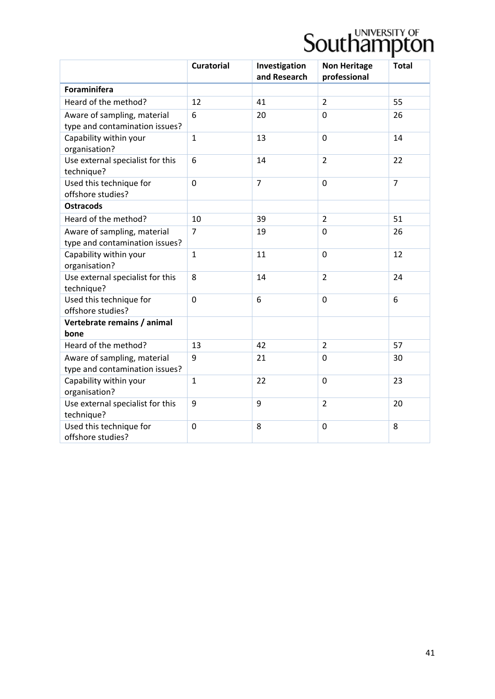|                                                               | <b>Curatorial</b> | Investigation<br>and Research | <b>Non Heritage</b><br>professional | <b>Total</b>   |
|---------------------------------------------------------------|-------------------|-------------------------------|-------------------------------------|----------------|
| <b>Foraminifera</b>                                           |                   |                               |                                     |                |
| Heard of the method?                                          | 12                | 41                            | $\overline{2}$                      | 55             |
| Aware of sampling, material<br>type and contamination issues? | 6                 | 20                            | $\Omega$                            | 26             |
| Capability within your<br>organisation?                       | $\mathbf{1}$      | 13                            | 0                                   | 14             |
| Use external specialist for this<br>technique?                | 6                 | 14                            | $\overline{2}$                      | 22             |
| Used this technique for<br>offshore studies?                  | $\overline{0}$    | $\overline{7}$                | $\mathbf 0$                         | $\overline{7}$ |
| <b>Ostracods</b>                                              |                   |                               |                                     |                |
| Heard of the method?                                          | 10                | 39                            | $\overline{2}$                      | 51             |
| Aware of sampling, material<br>type and contamination issues? | $\overline{7}$    | 19                            | 0                                   | 26             |
| Capability within your<br>organisation?                       | $\mathbf{1}$      | 11                            | $\mathbf 0$                         | 12             |
| Use external specialist for this<br>technique?                | 8                 | 14                            | $\overline{2}$                      | 24             |
| Used this technique for<br>offshore studies?                  | $\overline{0}$    | 6                             | 0                                   | 6              |
| Vertebrate remains / animal<br>bone                           |                   |                               |                                     |                |
| Heard of the method?                                          | 13                | 42                            | $\overline{2}$                      | 57             |
| Aware of sampling, material<br>type and contamination issues? | 9                 | 21                            | 0                                   | 30             |
| Capability within your<br>organisation?                       | $\mathbf{1}$      | 22                            | $\mathbf 0$                         | 23             |
| Use external specialist for this<br>technique?                | 9                 | 9                             | $\overline{2}$                      | 20             |
| Used this technique for<br>offshore studies?                  | $\mathbf 0$       | 8                             | $\mathbf 0$                         | 8              |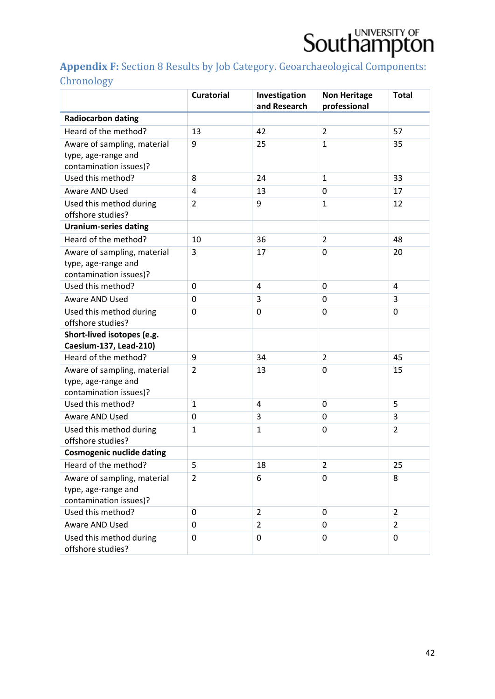

### Appendix F: Section 8 Results by Job Category. Geoarchaeological Components: **Chronology**

|                                                                              | <b>Curatorial</b> | Investigation<br>and Research | <b>Non Heritage</b><br>professional | <b>Total</b>   |
|------------------------------------------------------------------------------|-------------------|-------------------------------|-------------------------------------|----------------|
| <b>Radiocarbon dating</b>                                                    |                   |                               |                                     |                |
| Heard of the method?                                                         | 13                | 42                            | $\overline{2}$                      | 57             |
| Aware of sampling, material                                                  | 9                 | 25                            | $\mathbf{1}$                        | 35             |
| type, age-range and                                                          |                   |                               |                                     |                |
| contamination issues)?                                                       |                   |                               |                                     |                |
| Used this method?                                                            | 8                 | 24                            | $\mathbf{1}$                        | 33             |
| Aware AND Used                                                               | 4                 | 13                            | 0                                   | 17             |
| Used this method during<br>offshore studies?                                 | $\overline{2}$    | 9                             | $\mathbf{1}$                        | 12             |
| <b>Uranium-series dating</b>                                                 |                   |                               |                                     |                |
| Heard of the method?                                                         | 10                | 36                            | $\overline{2}$                      | 48             |
| Aware of sampling, material<br>type, age-range and<br>contamination issues)? | 3                 | 17                            | 0                                   | 20             |
| Used this method?                                                            | $\mathbf 0$       | 4                             | 0                                   | 4              |
| Aware AND Used                                                               | 0                 | 3                             | 0                                   | 3              |
| Used this method during<br>offshore studies?                                 | $\mathbf 0$       | 0                             | 0                                   | 0              |
| Short-lived isotopes (e.g.                                                   |                   |                               |                                     |                |
| Caesium-137, Lead-210)                                                       |                   |                               |                                     |                |
| Heard of the method?                                                         | 9                 | 34                            | $\overline{2}$                      | 45             |
| Aware of sampling, material<br>type, age-range and<br>contamination issues)? | $\overline{2}$    | 13                            | 0                                   | 15             |
| Used this method?                                                            | $\mathbf{1}$      | 4                             | 0                                   | 5              |
| <b>Aware AND Used</b>                                                        | 0                 | 3                             | 0                                   | 3              |
| Used this method during<br>offshore studies?                                 | $\mathbf{1}$      | $\mathbf{1}$                  | $\Omega$                            | $\overline{2}$ |
| <b>Cosmogenic nuclide dating</b>                                             |                   |                               |                                     |                |
| Heard of the method?                                                         | 5                 | 18                            | $\overline{2}$                      | 25             |
| Aware of sampling, material<br>type, age-range and<br>contamination issues)? | $\overline{2}$    | 6                             | 0                                   | 8              |
| Used this method?                                                            | $\Omega$          | $\overline{2}$                | $\Omega$                            | 2              |
| Aware AND Used                                                               | 0                 | $\overline{2}$                | 0                                   | 2              |
| Used this method during<br>offshore studies?                                 | 0                 | 0                             | 0                                   | 0              |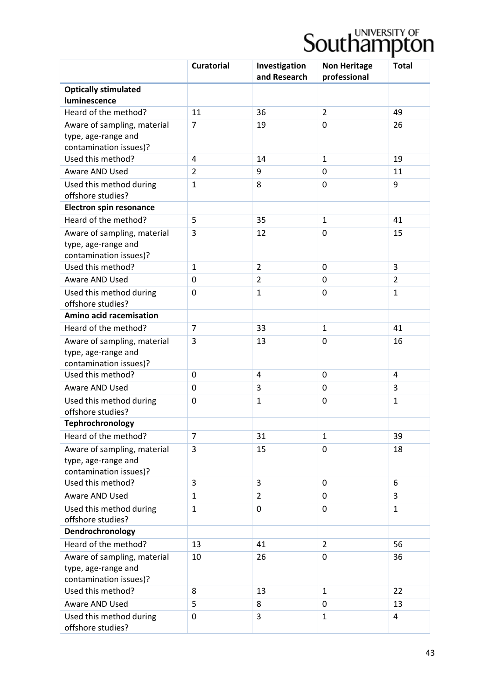|                                                                              | <b>Curatorial</b> | Investigation<br>and Research | <b>Non Heritage</b><br>professional | <b>Total</b>   |
|------------------------------------------------------------------------------|-------------------|-------------------------------|-------------------------------------|----------------|
| <b>Optically stimulated</b>                                                  |                   |                               |                                     |                |
| luminescence                                                                 |                   |                               |                                     |                |
| Heard of the method?                                                         | 11                | 36                            | $\overline{2}$                      | 49             |
| Aware of sampling, material<br>type, age-range and                           | $\overline{7}$    | 19                            | $\Omega$                            | 26             |
| contamination issues)?                                                       |                   |                               |                                     |                |
| Used this method?                                                            | 4                 | 14                            | $\mathbf{1}$                        | 19             |
| Aware AND Used                                                               | $\overline{2}$    | 9                             | $\Omega$                            | 11             |
| Used this method during<br>offshore studies?                                 | $\mathbf{1}$      | 8                             | $\Omega$                            | 9              |
| <b>Electron spin resonance</b>                                               |                   |                               |                                     |                |
| Heard of the method?                                                         | 5                 | 35                            | $\mathbf{1}$                        | 41             |
| Aware of sampling, material<br>type, age-range and<br>contamination issues)? | 3                 | 12                            | 0                                   | 15             |
| Used this method?                                                            | $\mathbf{1}$      | $\overline{2}$                | $\mathbf 0$                         | 3              |
| Aware AND Used                                                               | 0                 | 2                             | 0                                   | $\overline{2}$ |
| Used this method during                                                      | 0                 | $\mathbf{1}$                  | 0                                   | $\mathbf{1}$   |
| offshore studies?                                                            |                   |                               |                                     |                |
| Amino acid racemisation                                                      |                   |                               |                                     |                |
| Heard of the method?                                                         | $\overline{7}$    | 33                            | $\mathbf{1}$                        | 41             |
| Aware of sampling, material                                                  | 3                 | 13                            | 0                                   | 16             |
| type, age-range and<br>contamination issues)?                                |                   |                               |                                     |                |
| Used this method?                                                            | 0                 | 4                             | $\Omega$                            | 4              |
| <b>Aware AND Used</b>                                                        | 0                 | 3                             | 0                                   | 3              |
| Used this method during<br>offshore studies?                                 | 0                 | $\mathbf{1}$                  | 0                                   | $\mathbf{1}$   |
| Tephrochronology                                                             |                   |                               |                                     |                |
| Heard of the method?                                                         | $\overline{7}$    | 31                            | $\mathbf{1}$                        | 39             |
| Aware of sampling, material<br>type, age-range and<br>contamination issues)? | 3                 | 15                            | 0                                   | 18             |
| Used this method?                                                            | 3                 | 3                             | 0                                   | 6              |
| Aware AND Used                                                               | $\mathbf{1}$      | $\overline{2}$                | $\Omega$                            | 3              |
| Used this method during                                                      | $\mathbf{1}$      | 0                             | $\Omega$                            | $\mathbf{1}$   |
| offshore studies?                                                            |                   |                               |                                     |                |
| Dendrochronology                                                             |                   |                               |                                     |                |
| Heard of the method?                                                         | 13                | 41                            | $\overline{2}$                      | 56             |
| Aware of sampling, material                                                  | 10                | 26                            | 0                                   | 36             |
| type, age-range and<br>contamination issues)?                                |                   |                               |                                     |                |
| Used this method?                                                            | 8                 | 13                            | $\mathbf{1}$                        | 22             |
| Aware AND Used                                                               | 5                 | 8                             | 0                                   | 13             |
| Used this method during<br>offshore studies?                                 | 0                 | 3                             | $\mathbf{1}$                        | 4              |